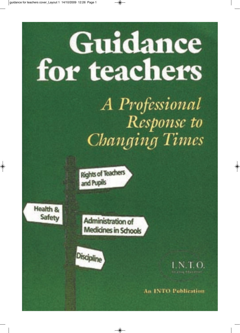# Guidance for teachers

A Professional Response to Changing Times

**Rights of Teachers** and Pupils

Health & Safety

Administration of **Medicines in Schools** 



LN 1.0.

**An INTO Publication**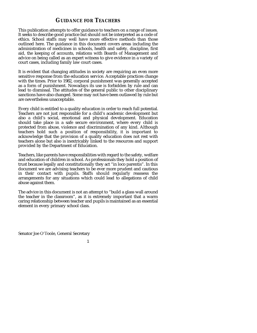## **GUIDANCE FOR TEACHERS**

This publication attempts to offer guidance to teachers on a range of issues. It seeks to describe good practice but should not be interpreted as a code of ethics. School staffs may well have more effective methods than those outlined here. The guidance in this document covers areas including the administration of medicines in schools, health and safety, discipline, first aid, the keeping of accounts, relations with Boards of Management and advice on being called as an expert witness to give evidence in a variety of court cases, including family law court cases.

It is evident that changing attitudes in society are requiring an even more sensitive response from the education service. Acceptable practices change with the times. Prior to 1982, corporal punishment was generally accepted as a form of punishment. Nowadays its use is forbidden by rule and can lead to dismissal. The attitudes of the general public to other disciplinary sanctions have also changed. Some may not have been outlawed by rule but are nevertheless unacceptable.

Every child is entitled to a quality education in order to reach full potential. Teachers are not just responsible for a child's academic development but also a child's social, emotional and physical development. Education should take place in a safe secure environment, where every child is protected from abuse, violence and discrimination of any kind. Although teachers hold such a position of responsibility, it is important to acknowledge that the provision of a quality education does not rest with teachers alone but also is inextricably linked to the resources and support provided by the Department of Education.

Teachers, like parents have responsibilities with regard to the safety, welfare and education of children in school. As professionals they hold a position of trust because legally and constitutionally they act "in loco parentis". In this document we are advising teachers to be ever more prudent and cautious in their contact with pupils. Staffs should regularly reassess the arrangements for any situations which could lead to allegations of child abuse against them.

The advice in this document is not an attempt to "build a glass wall around the teacher in the classroom", as it is extremely important that a warm caring relationship between teacher and pupils is maintained as an essential element in every primary school class.

Senator Joe O'Toole, General Secretary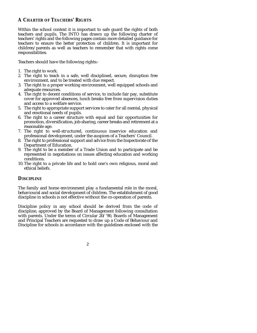## **A CHARTER OF TEACHERS' RIGHTS**

Within the school context it is important to safe guard the rights of both teachers and pupils. The INTO has drawn up the following charter of teachers' rights and the following pages contain more detailed guidance for teachers to ensure the better protection of children. It is important for children/parents as well as teachers to remember that with rights come responsibilities.

Teachers should have the following rights:-

- 1. The right to work.
- 2. The right to teach in a safe, well disciplined, secure, disruption free environment, and to be treated with due respect.
- 3. The right to a proper working environment, well equipped schools and adequate resources.
- 4. The right to decent conditions of service, to include fair pay, substitute cover for approved absences, lunch breaks free from supervision duties and access to a welfare service.
- 5. The right to appropriate support services to cater for all mental, physical and emotional needs of pupils.
- 6. The right to a career structure with equal and fair opportunities for promotion, diversification, job-sharing, career breaks and retirement at a reasonable age.
- 7. The right to well-structured, continuous inservice education and professional development, under the auspices of a Teachers' Council.
- 8. The right to professional support and advice from the Inspectorate of the Department of Education.
- 9. The right to be a member of a Trade Union and to participate and be represented in negotiations on issues affecting education and working conditions.
- 10. The right to a private life and to hold one's own religious, moral and ethical beliefs.

## **DISCIPLINE**

The family and home environment play a fundamental role in the moral, behavioural and social development of children. The establishment of good discipline in schools is not effective without the co-operation of parents.

Discipline policy in any school should be derived from the code of discipline, approved by the Board of Management following consultation with parents. Under the terms of Circular 20/'90, Boards of Management and Principal Teachers are requested to draw up a Code of Behaviour and Discipline for schools in accordance with the guidelines enclosed with the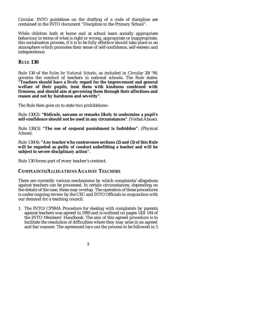Circular. INTO guidelines on the drafting of a code of discipline are contained in the INTO document "Discipline in the Primary School".

While children both at home and at school learn socially appropriate behaviour in terms of what is right or wrong, appropriate or inappropriate, this socialisation process, if it is to be fully effective should take place in an atmosphere which promotes their sense of self-confidence, self-esteem and independence.

## **RULE 130**

Rule 130 of the *Rules for National Schools*, as included in Circular 20/'90, governs the conduct of teachers in national schools. The Rule states: **"Teachers should have a lively regard for the improvement and general welfare of their pupils, treat them with kindness combined with firmness, and should aim at governing them through their affections and reason and not by harshness and severity"**.

The Rule then goes on to state two prohibitions:-

Rule 130(2): **"Ridicule, sarcasm or remarks likely to undermine a pupil's self-confidence should not be used in any circumstances"**. (Verbal Abuse).

Rule 130(3): **"The use of corporal punishment is forbidden"**. (Physical Abuse).

Rule 130(4): **"Any teacher who contravenes sections (2) and (3) of this Rule will be regarded as guilty of conduct unbefitting a teacher and will be subject to severe disciplinary action"**.

Rule 130 forms part of every teacher's contract.

#### **COMPLAINTS/ALLEGATIONS AGAINST TEACHERS**

There are currently various mechanisms by which complaints/allegations against teachers can be processed. In certain circumstances, depending on the details of the case, these may overlap. The operation of these procedures is under ongoing review by the CEC and INTO Officials in conjunction with our demand for a teaching council.

1. The INTO/CPSMA Procedure for dealing with complaints by parents against teachers was agreed in 1993 and is outlined on pages 143/144 of the INTO Members' Handbook. The aim of this agreed procedure is to facilitate the resolution of difficulties where they may arise in an agreed and fair manner. The agreement lays out the process to be followed in 5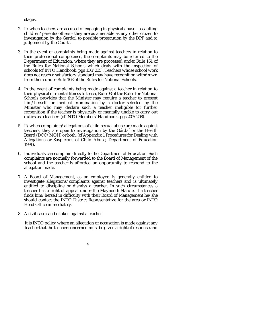#### stages.

- 2. If/when teachers are accused of engaging in physical abuse assaulting children/parents/others - they are as amenable as any other citizen to investigation by the Gardaí, to possible prosecution by the DPP and to judgement by the Courts.
- 3. In the event of complaints being made against teachers in relation to their professional competence, the complaints may be referred to the Department of Education, where they are processed under Rule 161 of the Rules for National Schools which deals with the inspection of schools (cf INTO Handbook, pgs 130/235). Teachers whose school work does not reach a satisfactory standard may have recognition withdrawn from them under Rule 108 of the Rules for National Schools.
- 4. In the event of complaints being made against a teacher in relation to their physical or mental fitness to teach, Rule 93 of the Rules for National Schools provides that the Minister may require a teacher to present him/herself for medical examination by a doctor selected by the Minister who may declare such a teacher ineligible for further recognition if the teacher is physically or mentally unable to carry out duties as a teacher. (cf INTO Members' Handbook, pgs 207/208).
- 5. If/when complaints/allegations of child sexual abuse are made against teachers, they are open to investigation by the Gárdaí or the Health Board (DCC/MOH) or both. (cf Appendix 1 Procedures for Dealing with Allegations or Suspicions of Child Abuse, Department of Education 1991).
- 6. Individuals can complain directly to the Department of Education. Such complaints are normally forwarded to the Board of Management of the school and the teacher is afforded an opportunity to respond to the allegation made.
- 7. A Board of Management, as an employer, is generally entitled to investigate allegations/complaints against teachers and is ultimately entitled to discipline or dismiss a teacher. In such circumstances a teacher has a right of appeal under the Maynooth Statute. If a teacher finds him/herself in difficulty with their Board of Management he/she should contact the INTO District Representative for the area or INTO Head Office immediately.
- 8. A civil case can be taken against a teacher.

It is INTO policy where an allegation or accusation is made against any teacher that the teacher concerned must be given a right of response and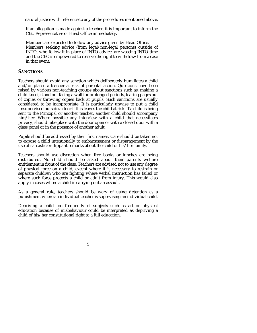natural justice with reference to any of the procedures mentioned above.

If an allegation is made against a teacher, it is important to inform the CEC Representative or Head Office immediately.

Members are expected to follow any advice given by Head Office. Members seeking advice (from legal/non-legal persons) outside of INTO, who follow it in place of INTO advice, are wasting INTO time and the CEC is empowered to reserve the right to withdraw from a case in that event.

#### **SANCTIONS**

Teachers should avoid any sanction which deliberately humiliates a child and/or places a teacher at risk of parental action. Questions have been raised by various non-teaching groups about sanctions such as, making a child kneel, stand out facing a wall for prolonged periods, tearing pages out of copies or throwing copies back at pupils. Such sanctions are usually considered to be inappropriate. It is particularly unwise to put a child unsupervised outside a door if this leaves the child at risk. If a child is being sent to the Principal or another teacher, another child should accompany him/her. Where possible any interview with a child that necessitates privacy, should take place with the door open or with a closed door with a glass panel or in the presence of another adult.

Pupils should be addressed by their first names. Care should be taken not to expose a child intentionally to embarrassment or disparagement by the use of sarcastic or flippant remarks about the child or his/her family.

Teachers should use discretion when free books or lunches are being distributed. No child should be asked about their parents welfare entitlement in front of the class. Teachers are advised not to use any degree of physical force on a child, except where it is necessary to restrain or separate children who are fighting where verbal instruction has failed or where such force protects a child or adult from injury. This would also apply in cases where a child is carrying out an assault.

As a general rule, teachers should be wary of using detention as a punishment where an individual teacher is supervising an individual child.

Depriving a child too frequently of subjects such as art or physical education because of misbehaviour could be interpreted as depriving a child of his/her constitutional right to a full education.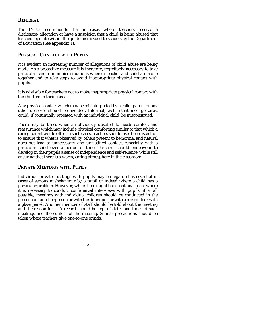#### **REFERRAL**

The INTO recommends that in cases where teachers receive a disclosure/allegation or have a suspicion that a child is being abused that teachers operate within the guidelines issued to schools by the Department of Education (See appendix 1).

## **PHYSICAL CONTACT WITH PUPILS**

It is evident an increasing number of allegations of child abuse are being made. As a protective measure it is therefore, regrettably necessary to take particular care to minimise situations where a teacher and child are alone together and to take steps to avoid inappropriate physical contact with pupils.

It is advisable for teachers not to make inappropriate physical contact with the children in their class.

Any physical contact which may be misinterpreted by a child, parent or any other observer should be avoided. Informal, well intentioned gestures, could, if continually repeated with an individual child, be misconstrued.

There may be times when an obviously upset child needs comfort and reassurance which may include physical comforting similar to that which a caring parent would offer. In such cases, teachers should use their discretion to ensure that what is observed by others present to be normal and natural does not lead to unnecessary and unjustified contact, especially with a particular child over a period of time. Teachers should endeavour to develop in their pupils a sense of independence and self-reliance, while still ensuring that there is a warm, caring atmosphere in the classroom.

#### **PRIVATE MEETINGS WITH PUPILS**

Individual private meetings with pupils may be regarded as essential in cases of serious misbehaviour by a pupil or indeed where a child has a particular problem. However, while there might be exceptional cases where it is necessary to conduct confidential interviews with pupils, if at all possible, meetings with individual children should be conducted in the presence of another person or with the door open or with a closed door with a glass panel. Another member of staff should be told about the meeting and the reason for it. A record should be kept of dates and times of such meetings and the content of the meeting. Similar precautions should be taken where teachers give one-to-one grinds.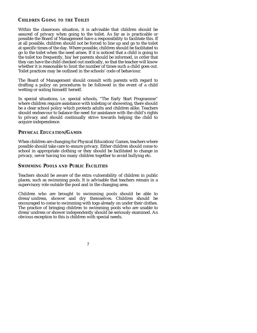## **CHILDREN GOING TO THE TOILET**

Within the classroom situation, it is advisable that children should be assured of privacy when going to the toilet. As far as is practicable or possible the Board of Management have a responsibility to facilitate this. If at all possible, children should not be forced to line up and go to the toilet at specific times of the day. Where possible, children should be facilitated to go to the toilet when the need arises. If it is noticed that a child is going to the toilet too frequently, his/her parents should be informed, in order that they can have the child checked out medically, so that the teacher will know whether it is reasonable to limit the number of times such a child goes out. Toilet practices may be outlined in the schools' code of behaviour.

The Board of Management should consult with parents with regard to drafting a policy on procedures to be followed in the event of a child wetting or soiling himself/herself.

In special situations, i.e. special schools, "The Early Start Programme" where children require assistance with toileting or showering, there should be a clear school policy which protects adults and children alike. Teachers should endeavour to balance the need for assistance with the child's rights to privacy and should continually strive towards helping the child to acquire independence.

## **PHYSICAL EDUCATION/GAMES**

When children are changing for Physical Education/Games, teachers where possible should take care to ensure privacy. Either children should come to school in appropriate clothing or they should be facilitated to change in privacy, never having too many children together to avoid bullying etc.

## **SWIMMING POOLS AND PUBLIC FACILITIES**

Teachers should be aware of the extra vulnerability of children in public places, such as swimming pools. It is advisable that teachers remain in a supervisory role outside the pool and in the changing area.

Children who are brought to swimming pools should be able to dress/undress, shower and dry themselves. Children should be encouraged to come to swimming with togs already on under their clothes. The practice of bringing children to swimming pools who are unable to dress/undress or shower independently should be seriously examined. An obvious exception to this is children with special needs.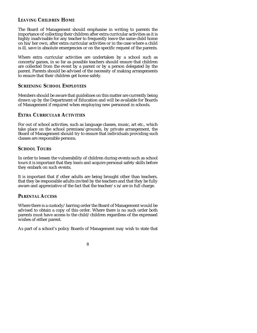## **LEAVING CHILDREN HOME**

The Board of Management should emphasise in writing to parents the importance of collecting their children after extra curricular activities as it is highly inadvisable for any teacher to frequently leave the same child home on his/her own, after extra curricular activities or in the case where a child is ill, save in absolute emergencies or on the specific request of the parents.

Where extra curricular activities are undertaken by a school such as concerts/games, in so far as possible teachers should ensure that children are collected from the event by a parent or by a person delegated by the parent. Parents should be advised of the necessity of making arrangements to ensure that their children get home safely.

## **SCREENING SCHOOL EMPLOYEES**

Members should be aware that guidelines on this matter are currently being drawn up by the Department of Education and will be available for Boards of Management if required when employing new personnel in schools.

## **EXTRA CURRICULAR ACTIVITIES**

For out of school activities, such as language classes, music, art etc., which take place on the school premises/grounds, by private arrangement, the Board of Management should try to ensure that individuals providing such classes are responsible persons.

## **SCHOOL TOURS**

In order to lessen the vulnerability of children during events such as school tours it is important that they learn and acquire personal safety skills before they embark on such events.

It is important that if other adults are being brought other than teachers, that they be responsible adults invited by the teachers and that they be fully aware and appreciative of the fact that the teacher/s is/are in full charge.

## **PARENTAL ACCESS**

Where there is a custody/barring order the Board of Management would be advised to obtain a copy of this order. Where there is no such order both parents must have access to the child/children regardless of the expressed wishes of either parent.

As part of a school's policy Boards of Management may wish to state that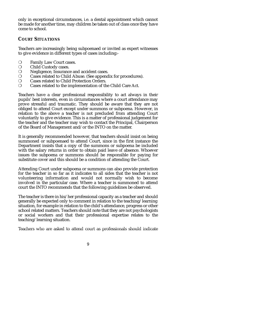only in exceptional circumstances, i.e. a dental appointment which cannot be made for another time, may children be taken out of class once they have come to school.

## **COURT SITUATIONS**

Teachers are increasingly being subpoenaed or invited as expert witnesses to give evidence in different types of cases including:-

- Family Law Court cases. m
- Child Custody cases.  $m$
- Negligence, Insurance and accident cases. m
- Cases related to Child Abuse. (See appendix for procedures). m
- Cases related to Child Protection Orders. m
- Cases related to the implementation of the Child Care Act. m

Teachers have a clear professional responsibility to act always in their pupils' best interests, even in circumstances where a court attendance may prove stressful and traumatic. They should be aware that they are not obliged to attend Court except under summons or subpoena. However, in relation to the above a teacher is not precluded from attending Court voluntarily to give evidence. This is a matter of professional judgement for the teacher and the teacher may wish to contact the Principal, Chairperson of the Board of Management and/or the INTO on the matter.

It is generally recommended however, that teachers should insist on being summoned or subpoenaed to attend Court, since in the first instance the Department insists that a copy of the summons or subpoena be included with the salary returns in order to obtain paid leave of absence. Whoever issues the subpoena or summons should be responsible for paying for substitute cover and this should be a condition of attending the Court.

Attending Court under subpoena or summons can also provide protection for the teacher in so far as it indicates to all sides that the teacher is not volunteering information and would not normally wish to become involved in the particular case. Where a teacher is summoned to attend court the INTO recommends that the following guidelines be observed.

The teacher is there in his/her professional capacity as a teacher and should generally be expected only to comment in relation to the teaching/learning situation, for example in relation to the child's attendance, progress or other school related matters. Teachers should note that they are not psychologists or social workers and that their professional expertise relates to the teaching/learning situation.

Teachers who are asked to attend court as professionals should indicate

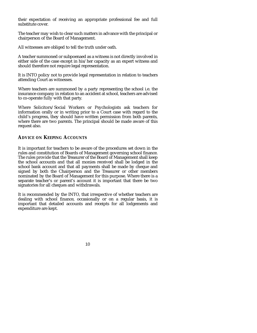their expectation of receiving an appropriate professional fee and full substitute cover.

The teacher may wish to clear such matters in advance with the principal or chairperson of the Board of Management.

All witnesses are obliged to tell the truth under oath.

A teacher summoned or subpoenaed as a witness is not directly involved in either side of the case except in his/her capacity as an expert witness and should therefore not require legal representation.

It is INTO policy not to provide legal representation in relation to teachers attending Court as witnesses.

Where teachers are summoned by a party representing the school i.e. the insurance company in relation to an accident at school, teachers are advised to co-operate fully with that party.

Where Solicitors/Social Workers or Psychologists ask teachers for information orally or in writing prior to a Court case with regard to the child's progress, they should have written permission from both parents, where there are two parents. The principal should be made aware of this request also.

## **ADVICE ON KEEPING ACCOUNTS**

It is important for teachers to be aware of the procedures set down in the rules and constitution of Boards of Management governing school finance. The rules provide that the Treasurer of the Board of Management shall keep the school accounts and that all monies received shall be lodged in the school bank account and that all payments shall be made by cheque and signed by both the Chairperson and the Treasurer or other members nominated by the Board of Management for this purpose. Where there is a separate teacher's or parent's account it is important that there be two signatories for all cheques and withdrawals.

It is recommended by the INTO, that irrespective of whether teachers are dealing with school finance, occasionally or on a regular basis, it is important that detailed accounts and receipts for all lodgements and expenditure are kept.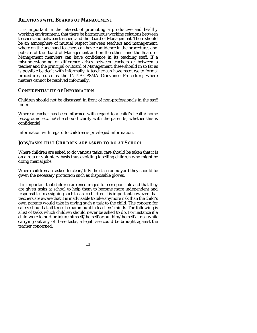#### **RELATIONS WITH BOARDS OF MANAGEMENT**

It is important in the interest of promoting a productive and healthy working environment, that there be harmonious working relations between teachers and between teachers and the Board of Management. There should be an atmosphere of mutual respect between teachers and management, where on the one hand teachers can have confidence in the procedures and policies of the Board of Management and on the other hand the Board of Management members can have confidence in its teaching staff. If a misunderstanding or difference arises between teachers or between a teacher and the principal or Board of Management, these should in so far as is possible be dealt with informally. A teacher can have recourse to formal procedures, such as the INTO/CPSMA Grievance Procedure, where matters cannot be resolved informally.

## **CONFIDENTIALITY OF INFORMATION**

Children should not be discussed in front of non-professionals in the staff room.

Where a teacher has been informed with regard to a child's health/home background etc. he/she should clarify with the parent(s) whether this is confidential.

Information with regard to children is privileged information.

## **JOBS/TASKS THAT CHILDREN ARE ASKED TO DO AT SCHOOL**

Where children are asked to do various tasks, care should be taken that it is on a rota or voluntary basis thus avoiding labelling children who might be doing menial jobs.

Where children are asked to clean/tidy the classroom/yard they should be given the necessary protection such as disposable gloves.

It is important that children are encouraged to be responsible and that they are given tasks at school to help them to become more independent and responsible. In assigning such tasks to children it is important however, that teachers are aware that it is inadvisable to take anymore risk than the child's own parents would take in giving such a task to the child. The concern for safety should at all times be paramount in teachers' minds. The following is a list of tasks which children should never be asked to do. For instance if a child were to hurt or injure himself/herself or put him/herself at risk while carrying out any of these tasks, a legal case could be brought against the teacher concerned.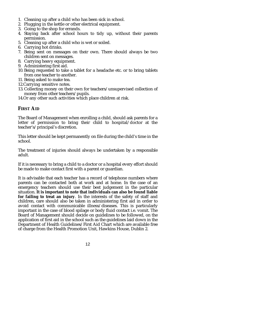- 1. Cleaning up after a child who has been sick in school.
- 2. Plugging in the kettle or other electrical equipment.
- 3. Going to the shop for errands.
- 4. Staying back after school hours to tidy up, without their parents permission.
- 5. Cleaning up after a child who is wet or soiled.
- 6. Carrying hot drinks.
- 7. Being sent on messages on their own. There should always be two children sent on messages.
- 8. Carrying heavy equipment.
- 9. Administering first aid.
- 10. Being requested to take a tablet for a headache etc. or to bring tablets from one teacher to another.
- 11. Being asked to make tea.
- 12.Carrying sensitive notes.
- 13. Collecting money on their own for teachers/unsupervised collection of money from other teachers/pupils.
- 14.Or any other such activities which place children at risk.

## **FIRST AID**

The Board of Management when enrolling a child, should ask parents for a letter of permission to bring their child to hospital/doctor at the teacher's/principal's discretion.

This letter should be kept permanently on file during the child's time in the school.

The treatment of injuries should always be undertaken by a responsible adult.

If it is necessary to bring a child to a doctor or a hospital every effort should be made to make contact first with a parent or guardian.

It is advisable that each teacher has a record of telephone numbers where parents can be contacted both at work and at home. In the case of an emergency teachers should use their best judgement in the particular situation. **It is important to note that individuals can also be found liable for failing to treat an injury**. In the interests of the safety of staff and children, care should also be taken in administering first aid in order to avoid contact with communicable illness/diseases. This is particularly important in the case of blood spilage or body fluid contact i.e. vomit. The Board of Management should decide on guidelines to be followed, on the application of first aid in the school such as the guidelines laid down in the Department of Health Guidelines/First Aid Chart which are available free of charge from the Health Promotion Unit, Hawkins House, Dublin 2.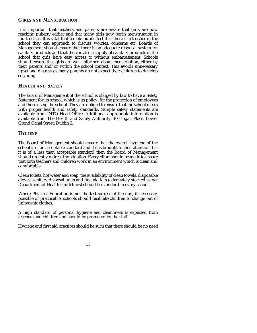### **GIRLS AND MENSTRUATION**

It is important that teachers and parents are aware that girls are now reaching puberty earlier and that many girls now begin menstruation in fourth class. It is vital that female pupils feel that there is a teacher in the school they can approach to discuss worries, concerns etc. Boards of Management should ensure that there is an adequate disposal system for sanitary products and that there is also a supply of sanitary products in the school that girls have easy access to without embarrassment. Schools should ensure that girls are well informed about menstruation, either by their parents and/or within the school context. This avoids unnecessary upset and distress as many parents do not expect their children to develop so young.

## **HEALTH AND SAFETY**

The Board of Management of the school is obliged by law to have a Safety Statement for its school, which is its policy, for the protection of employees and those using the school. They are obliged to ensure that the school meets with proper health and safety standards. Sample safety statements are available from INTO Head Office. Additional appropriate information is available from The Health and Safety Authority, 10 Hogan Place, Lower Grand Canal Street, Dublin 2.

## **HYGIENE**

The Board of Management should ensure that the overall hygiene of the school is of an acceptable standard and if it is brought to their attention that it is of a less than acceptable standard then the Board of Management should urgently redress the situation. Every effort should be made to ensure that both teachers and children work in an environment which is clean and comfortable.

Clean toilets, hot water and soap, the availability of clean towels, disposable gloves, sanitary disposal units and first aid kits (adequately stocked as per Department of Health Guidelines) should be standard in every school.

Where Physical Education is not the last subject of the day, if necessary, possible or practicable, schools should facilitate children to change out of unhygenic clothes.

A high standard of personal hygiene and cleanliness is expected from teachers and children and should be promoted by the staff.

Hygiene and first aid practices should be such that there should be no need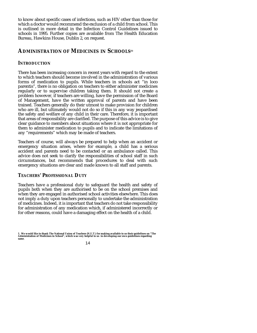to know about specific cases of infections, such as HIV other than those for which a doctor would recommend the exclusion of a child from school. This is outlined in more detail in the Infection Control Guidelines issued to schools in 1995. Further copies are available from The Health Education Bureau, Hawkins House, Dublin 2, on request.

## **ADMINISTRATION OF MEDICINES IN SCHOOLS(1)**

## **INTRODUCTION**

There has been increasing concern in recent years with regard to the extent to which teachers should become involved in the administration of various forms of medication to pupils. While teachers in schools act "in loco parentis", there is no obligation on teachers to either administer medicines regularly or to supervise children taking them. It should not create a problem however, if teachers are willing, have the permission of the Board of Management, have the written approval of parents and have been trained. Teachers generally do their utmost to make provision for children who are ill, but ultimately would not do so if this in any way jeopardised the safety and welfare of any child in their care. Therefore, it is important that areas of responsibility are clarified. The purpose of this advice is to give clear guidance to members about situations where it is not appropriate for them to administer medication to pupils and to indicate the limitations of any "requirements" which may be made of teachers.

Teachers of course, will always be prepared to help when an accident or emergency situation arises, where for example, a child has a serious accident and parents need to be contacted or an ambulance called. This advice does not seek to clarify the responsibilities of school staff in such circumstances, but recommends that procedures to deal with such emergency situations are clear and made known to all staff and parents.

#### **TEACHERS' PROFESSIONAL DUTY**

Teachers have a professional duty to safeguard the health and safety of pupils both when they are authorised to be on the school premises and when they are engaged in authorised school activities elsewhere. This does not imply a duty upon teachers personally to undertake the administration of medicines. Indeed, it is important that teachers do not take responsibility for administration of any medication which, if administered incorrectly or for other reasons, could have a damaging effect on the health of a child.

<sup>1.</sup> We would like to thank The National Union of Teachers (N.U.T.) for making available to us their guidelines on "The<br>Administration of Medicines in School", which was very helpful to us in developing our own guidelines **same.**

<sup>14</sup>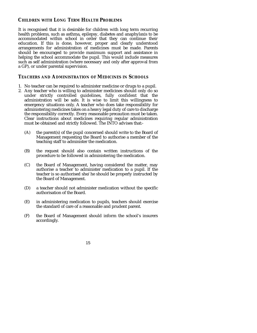## **CHILDREN WITH LONG TERM HEALTH PROBLEMS**

It is recognised that it is desirable for children with long term recurring health problems, such as asthma, epilepsy, diabetes and anaphylaxis to be accommodated within school in order that they can continue their education. If this is done, however, proper and clearly understood arrangements for administration of medicines must be made. Parents should be encouraged to provide maximum support and assistance in helping the school accommodate the pupil. This would include measures such as self administration (where necessary and only after approval from a GP), or under parental supervision.

## **TEACHERS AND ADMINISTRATION OF MEDICINES IN SCHOOLS**

- 1. No teacher can be required to administer medicine or drugs to a pupil.
- 2. Any teacher who is willing to administer medicines should only do so under strictly controlled guidelines, fully confident that the administration will be safe. It is wise to limit this willingness to emergency situations only. A teacher who does take responsibility for administering medicines takes on a heavy legal duty of care to discharge the responsibility correctly. Every reasonable precaution must be taken. Clear instructions about medicines requiring regular administration must be obtained and strictly followed. The INTO advises that:-
	- (A) the parent(s) of the pupil concerned should write to the Board of Management requesting the Board to authorise a member of the teaching staff to administer the medication.
	- (B) the request should also contain written instructions of the procedure to be followed in administering the medication.
	- (C) the Board of Management, having considered the matter, may authorise a teacher to administer medication to a pupil. If the teacher is so authorised she/he should be properly instructed by the Board of Management.
	- (D) a teacher should not administer medication without the specific authorisation of the Board.
	- (E) in administering medication to pupils, teachers should exercise the standard of care of a reasonable and prudent parent.
	- (F) the Board of Management should inform the school's insurers accordingly.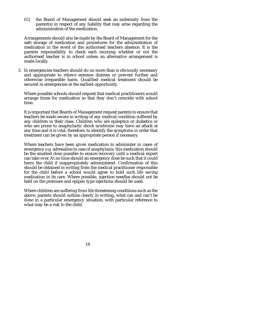(G) the Board of Management should seek an indemnity from the parent(s) in respect of any liability that may arise regarding the administration of the medication.

Arrangements should also be made by the Board of Management for the safe storage of medication and procedures for the administration of medication in the event of the authorised teachers absence. It is the parents responsibility to check each morning whether or not the authorised teacher is in school unless an alternative arrangement is made locally.

3. In emergencies teachers should do no more than is obviously necessary and appropriate to relieve extreme distress or prevent further and otherwise irreparable harm. Qualified medical treatment should be secured in emergencies at the earliest opportunity.

Where possible schools should request that medical practitioners would arrange times for medication so that they don't coincide with school time.

It is important that Boards of Management request parents to ensure that teachers be made aware in writing of any medical condition suffered by any children in their class. Children who are epileptics or diabetics or who are prone to anaphylactic shock syndrome may have an attack at any time and it is vital, therefore, to identify the symptoms in order that treatment can be given by an appropriate person if necessary.

Where teachers have been given medication to administer in cases of emergency e.g. adrenaline in case of anaphylaxis, this medication should be the smallest dose possible to ensure recovery until a medical expert can take over. At no time should an emergency dose be such that it could harm the child if inappropriately administered. Confirmation of this should be obtained in writing from the medical practitioner responsible for the child before a school would agree to hold such life saving medication in its care. Where possible, injection needles should not be held on the premises and epipen type injections should be used.

Where children are suffering from life threatening conditions such as the above, parents should outline clearly in writing, what can and can't be done in a particular emergency situation, with particular reference to what may be a risk to the child.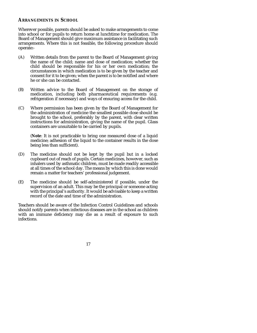## **ARRANGEMENTS IN SCHOOL**

Wherever possible, parents should be asked to make arrangements to come into school or for pupils to return home at lunchtime for medication. The Board of Management should give maximum assistance in facilitating such arrangements. Where this is not feasible, the following procedure should operate:-

- (A) Written details from the parent to the Board of Management giving the name of the child; name and dose of medication; whether the child should be responsible for his or her own medication; the circumstances in which medication is to be given by the teacher and consent for it to be given; when the parent is to be notified and where he or she can be contacted.
- (B) Written advice to the Board of Management on the storage of medication, including both pharmaceutical requirements (e.g. refrigeration if necessary) and ways of ensuring access for the child.
- (C) Where permission has been given by the Board of Management for the administration of medicine the smallest possible dose should be brought to the school, preferably by the parent, with clear written instructions for administration, giving the name of the pupil. Glass containers are unsuitable to be carried by pupils.

(**Note**: It is not practicable to bring one measured dose of a liquid medicine; adhesion of the liquid to the container results in the dose being less than sufficient).

- (D) The medicine should not be kept by the pupil but in a locked cupboard out of reach of pupils. Certain medicines, however, such as inhalers used by asthmatic children, must be made readily accessible at all times of the school day. The means by which this is done would remain a matter for teachers' professional judgement.
- (E) The medicine should be self-administered if possible, under the supervision of an adult. This may be the principal or someone acting with the principal's authority. It would be advisable to keep a written record of the date and time of the administration.

Teachers should be aware of the Infection Control Guidelines and schools should notify parents when infectious diseases are in the school as children with an immune deficiency may die as a result of exposure to such infections.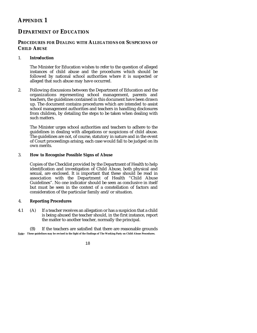# **APPENDIX 1**

# **DEPARTMENT OF EDUCATION**

## **PROCEDURES FOR DEALING WITH ALLEGATIONS OR SUSPICIONS OF CHILD ABUSE**

## 1. **Introduction**

The Minister for Education wishes to refer to the question of alleged instances of child abuse and the procedures which should be followed by national school authorities where it is suspected or alleged that such abuse may have occurred.

2. Following discussions between the Department of Education and the organizations representing school management, parents and teachers, the guidelines contained in this document have been drawn up. The document contains procedures which are intended to assist school management authorities and teachers in handling disclosures from children, by detailing the steps to be taken when dealing with such matters.

The Minister urges school authorities and teachers to adhere to the guidelines in dealing with allegations or suspicions of child abuse. The guidelines are not, of course, statutory in nature and in the event of Court proceedings arising, each case would fall to be judged on its own merits.

#### 3. **How to Recognise Possible Signs of Abuse**

Copies of the Checklist provided by the Department of Health to help identification and investigation of Child Abuse, both physical and sexual, are enclosed. It is important that these should be read in association with the Department of Health "Child Abuse Guidelines". No one indicator should be seen as conclusive in itself but must be seen in the context of a constellation of factors and consideration of the particular family and/or situation.

## 4. **Reporting Procedures**

4.1 (A) If a teacher receives an allegation or has a suspicion that a child is being abused the teacher should, in the first instance, report the matter to another teacher, normally the principal.

(B) If the teachers are satisfied that there are reasonable grounds **Note:- These guidelines may be revised in the light of the findings of The Working Party on Child Abuse Procedures.**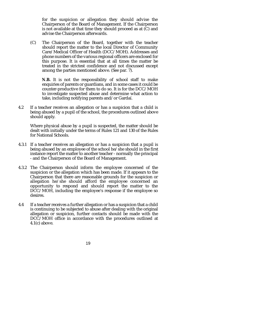for the suspicion or allegation they should advise the Chairperson of the Board of Management. If the Chairperson is not available at that time they should proceed as at (C) and advise the Chairperson afterwards.

(C) The Chairperson of the Board, together with the teacher should report the matter to the local Director of Community Care/Medical Officer of Health (DCC/MOH). Addresses and phone numbers of the various regional officers are enclosed for this purpose. It is essential that at all times the matter be treated in the strictest confidence and not discussed except among the parties mentioned above. (See par. 7).

N.B. It is not the responsibility of school staff to make enquiries of parents or guardians, and in some cases it could be counter-productive for them to do so. It is for the DCC/MOH to investigate suspected abuse and determine what action to take, including notifying parents and/or Gardaí.

4.2 If a teacher receives an allegation or has a suspicion that a child is being abused by a pupil of the school, the procedures outlined above should apply.

Where physical abuse by a pupil is suspected, the matter should be dealt with initially under the terms of Rules 121 and 130 of the Rules for National Schools.

- 4.3.1 If a teacher receives an allegation or has a suspicion that a pupil is being abused by an employee of the school he/she should in the first instance report the matter to another teacher - normally the principal - and the Chairperson of the Board of Management.
- 4.3.2 The Chairperson should inform the employee concerned of the suspicion or the allegation which has been made. If it appears to the Chairperson that there are reasonable grounds for the suspicion or allegation he/she should afford the employee concerned an opportunity to respond and should report the matter to the DCC/MOH, including the employee's response if the employee so desires.
- 4.4 If a teacher receives a further allegation or has a suspicion that a child is continuing to be subjected to abuse after dealing with the original allegation or suspicion, further contacts should be made with the DCC/MOH office in accordance with the procedures outlined at 4.1(c) above.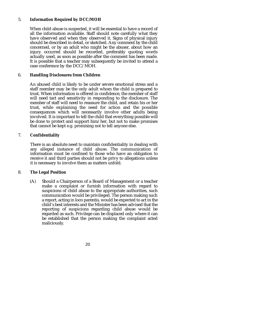#### 5. **Information Required by DCC/MOH**

When child abuse is suspected, it will be essential to have a record of all the information available. Staff should note carefully what they have observed and when they observed it. Signs of physical injury should be described in detail, or sketched. Any comment by the child concerned, or by an adult who might be the abuser, about how an injury occurred should be recorded, preferably quoting words actually used, as soon as possible after the comment has been made. It is possible that a teacher may subsequently be invited to attend a case conference by the DCC/MOH.

#### 6. **Handling Disclosures from Children**

An abused child is likely to be under severe emotional stress and a staff member may be the only adult whom the child is prepared to trust. When information is offered in confidence, the member of staff will need tact and sensitivity in responding to the disclosure. The member of staff will need to reassure the child, and retain his or her trust, while explaining the need for action and the possible consequences which will necessarily involve other adults being involved. It is important to tell the child that everything possible will be done to protect and support him/her, but not to make promises that cannot be kept e.g. promising not to tell anyone else.

## 7. **Confidentiality**

There is an absolute need to maintain confidentiality in dealing with any alleged instance of child abuse. The communication of information must be confined to those who have an obligation to receive it and third parties should not be privy to allegations unless it is necessary to involve them as matters unfold.

#### 8. **The Legal Position**

(A) Should a Chairperson of a Board of Management or a teacher make a complaint or furnish information with regard to suspicions of child abuse to the appropriate authorities, such communication would be privileged. The person making such a report, acting in loco parentis, would be expected to act in the child's best interests and the Minister has been advised that the reporting of suspicions regarding child abuse would be regarded as such. Privilege can be displaced only where it can be established that the person making the complaint acted maliciously.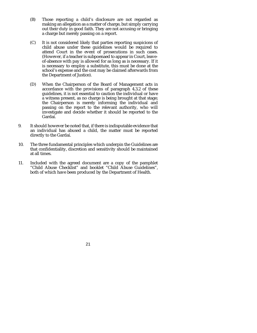- (B) Those reporting a child's disclosure are not regarded as making an allegation as a matter of charge, but simply carrying out their duty in good faith. They are not accusing or bringing a charge but merely passing on a report.
- (C) It is not considered likely that parties reporting suspicions of child abuse under these guidelines would be required to attend Court in the event of prosecutions in such cases. (However, if a teacher is subpoenaed to appear in Court, leaveof-absence with pay is allowed for as long as is necessary. If it is necessary to employ a substitute, this must be done at the school's expense and the cost may be claimed afterwards from the Department of Justice).
- (D) When the Chairperson of the Board of Management acts in accordance with the provisions of paragraph 4.3.2 of these guidelines, it is not essential to caution the individual or have a witness present, as no charge is being brought at that stage; the Chairperson is merely informing the individual and passing on the report to the relevant authority, who will investigate and decide whether it should be reported to the Gardaí.
- 9. It should however be noted that, if there is indisputable evidence that an individual has abused a child, the matter must be reported directly to the Gardaí.
- 10. The three fundamental principles which underpin the Guidelines are that confidentiality, discretion and sensitivity should be maintained at all times.
- 11. Included with the agreed document are a copy of the pamphlet "Child Abuse Checklist" and booklet "Child Abuse Guidelines", both of which have been produced by the Department of Health.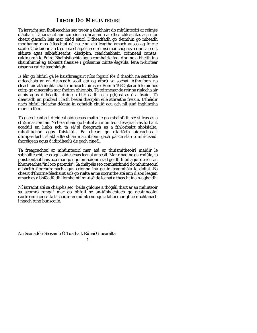# **TREOIR DO MHÚINTEOIRÍ**

Tá iarracht san fhoilseachán seo treoir a thabhairt do mhúinteoirí ar réimse d'ábhair. Tá iarracht ann cur síos a dhéanamh ar dhea-chleachtas ach níor cheart glacadh leis mar chód eiticí. D'fhéadfadh go deimhin go mbeadh modhanna níos éifeachtaí ná na cinn atá leagtha amach anseo ag foirne scoile. Clúdaíonn an treoir sa cháipéis seo réimsí mar chógais a riar sa scoil, sláinte agus sábháilteacht, disciplín, céadchabhair, coinneáil cuntas, caidreamh le Boird Bhainistíochta agus comhairle faoi dhuine a bheith ina shainfhinné ag tabhairt fianaise i gcásanna cúirte éagsúla, lena n-áirítear cásanna cúirte teaghlaigh.

Is léir go bhfuil gá le haisfhreagairt níos íogairí fós ó thaobh na seirbhíse oideachais ar an dearcadh saoil atá ag athrú sa sochaí. Athraíonn na cleachtais atá inghlactha le himeacht aimsire. Roimh 1982 glacadh le pionós coirp go ginearálta mar fhoirm phionóis. Tá toirmeasc de réir na rialacha air anois agus d'fhéadfaí duine a bhriseadh as a p(h)ost as é a úsáid. Tá dearcadh an phobail i leith bealaí disciplín eile athraithe freisin. B'fhéidir nach bhfuil rialacha déanta in aghaidh chuid acu ach níl siad inghlactha mar sin féin.

Tá gach leanbh i dteideal oideachas maith le go mbainfidh sé/sí leas as a c(h)umas iomlán. Ní hé amháin go bhfuil an múinteoir freagrach as forbairt acadúil an linbh ach tá sé/sí freagrach as a f(h)orbairt shóisialta, mhothúchán agus fhisiciúil. Ba cheart go dtarlódh oideachas i dtimpeallacht shábhailte shlán ina mbíonn gach páiste slán ó mhí-úsáid, fhoréigean agus ó idirdhealú de gach cineál.

Tá freagrachtaí ar mhúinteoirí mar atá ar thuismitheoirí maidir le sábháilteacht, leas agus oideachas leanaí ar scoil. Mar dhaoine gairmiúla, tá poist iontaobhais acu mar go ngníomhaíonn siad go dlíthiúil agus de réir an bhunreachta "in loco parentis". Sa cháipéis seo comhairlímid do mhúinteoirí a bheith fíorchúramach agus críonna ina gcuid teagmhála le daltaí. Ba cheart d'fhoirne féachaint arís go rialta ar na socruithe atá ann d'aon leagan amach as a bhféadfadh líomhaintí mí-úsáide leanaí a theacht ina n-aghaidh.

Ní iarracht atá sa cháipéis seo "balla ghloine a thógáil thart ar an múinteoir sa seomra ranga" mar go bhfuil sé an-tábhachtach go gcoinneofaí caidreamh cineálta lách idir an múinteoir agus daltaí mar ghné riachtanach i ngach rang bunscoile.

An Seanadóir Seosamh Ó Tuathail, Rúnaí Ginearálta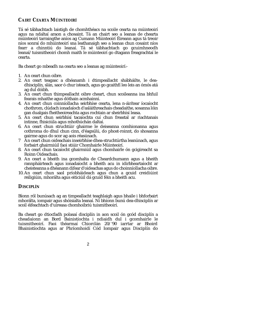## **CAIRT CEARTA MÚINTEOIRÍ**

Tá sé tábhachtach laistigh de chomhthéacs na scoile cearta na múinteoirí agus na ndaltaí araon a chosaint. Tá an chairt seo a leanas de chearta múinteoirí tarraingthe aníos ag Cumann Múinteoirí Éireann agus tá treoir níos sonraí do mhúinteoirí sna leathanaigh seo a leanas chun cosaint níos fearr a chinntiú do leanaí. Tá sé tábhachtach go gcuimhneodh leanaí/tuismitheoirí chomh maith le múinteoirí go dtagann freagrachtaí le cearta.

Ba cheart go mbeadh na cearta seo a leanas ag múinteoirí:-

- 1. An ceart chun oibre.
- 2. An ceart teagasc a dhéanamh i dtimpeallacht shábháilte, le deadhisciplín, slán, saor ó chur isteach, agus go gcaithfí leo leis an ómós atá ag dul dóibh.
- 3. An ceart chun thimpeallacht oibre cheart, chun scoileanna ina bhfuil fearais mhaithe agus dóthain acmhainní.
- 4. An ceart chun coinníollacha seirbhíse cearta, lena n-áirítear íocaíocht chothrom, clúdach ionadaíoch d'asláithreachais cheadaithe, sosanna lóin gan dualgais fheitheoireachta agus rochtain ar sheirbhísí leasa.
- 5. An ceart chun seirbhísí tacaíochta cuí chun freastal ar riachtanais intinne, fhisiciúla agus mhothúchán daltaí.
- 6. An ceart chun struchtúir ghairme le deiseanna comhionanna agus cothroma do dhul chun cinn, d'éagsúlú, do phost-roinnt, do shosanna gairme agus do scor ag aois réasúnach.
- 7 An ceart chun oideachais inseirbhíse dhea-struchtúrtha leanúnach, agus forbairt ghairmiúil faoi stiúir Chomhairle Múinteoirí.
- 8. An ceart chun tacaíocht ghairmiúil agus chomhairle ón gcigireacht sa Roinn Oideachais.
- 9. An ceart a bheith ina gcomhalta de Cheardchumann agus a bheith rannpháirteach agus ionadaíocht a bheith acu in idirbheartaíocht ar cheisteanna a dhéanann difear d'oideachas agus do choinníollacha oibre.
- 10. An ceart chun saol príobháideach agus chun a gcuid creidiúint reiligiúin, mhorálta agus eiticiúil dá gcuid féin a bheith acu.

## **DISCIPLÍN**

Bíonn ról bunúsach ag an timpeallacht teaghlaigh agus bhaile i bhforbairt mhorálta, iompair agus shóisialta leanaí. Ní bhíonn bunú dea-dhisciplín ar scoil éifeachtach d'uireasa chomhoibriú tuismitheoirí.

Ba cheart go dtiocfadh polasaí disciplín in aon scoil ón gcód disciplín a cheadaíonn an Bord Bainistíochta i ndiaidh dul i gcomhairle le tuismitheoirí. Faoi théarmaí Chiorclán 20/'90 iarrtar ar Bhoird Bhainistíochta agus ar Phríomhoidí Cód Iompair agus Disciplín do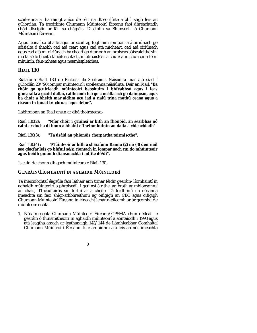scoileanna a tharraingt aníos de réir na dtreoirlínte a bhí istigh leis an gCiorclán. Tá treoirlínte Chumann Múinteoirí Éireann faoi dhréachtadh chód disciplín ar fáil sa cháipéis "Disciplín sa Bhunscoil" ó Chumann Múinteoirí Éireann.

Agus leanaí sa bhaile agus ar scoil ag foghlaim iompair atá oiriúnach go sóisialta ó thaobh cad atá ceart agus cad atá mícheart, cad atá oiriúnach agus cad atá mí-oiriúnach ba cheart go dtarlódh an próiseas sóisealaithe sin, má tá sé le bheith lánéifeachtach, in atmaisféar a chuireann chun cinn féinmhuinín, féin-mheas agus neamhspleáchas.

## **RIAIL 130**

Rialaíonn Riail 130 de *Rialacha do Scoileanna Náisiúnta* mar atá siad i gCioclán 20/'90 iompar múinteoirí i scoileanna náisiúnta. Deir an Riail: **"Ba chóir go gcuirfeadh múinteoirí beoshuim i bhfeabhsú agus i leas ginearálta a gcuid daltaí, caitheamh leo go cineálta ach go daingean, agus ba chóir a bheith mar aidhm acu iad a rialú trína mothú ceana agus a réasún in ionad trí chruas agus déine".**

Labhraíonn an Riail ansin ar dhá thoirmeasc:-

Riail 130(2): **"Níor chóir i gcúinsí ar bith an fhonóid, an searbhas nó caint ar dócha di bonn a bhaint d'fhéinmhuinín an dalta a chleachtadh"**

Riail 130(3): **"Tá úsáid an phionóis chorpartha toirmiscthe".**

Riail 130(4) : **"Múinteoir ar bith a sháraíonn Ranna (2) nó (3) den riail seo glacfar leis go bhfuil sé/sí ciontach in iompar nach cuí do mhúinteoir agus beidh gníomh diansmachta i ndlite dó/di".**

Is cuid de chonradh gach múinteora é Riail 130.

#### **GEARÁIN/LÍOMHAINTÍ IN AGHAIDH MÚINTEOIRÍ**

Tá meicníochtaí éagsúla faoi láthair ann trínar féidir gearáin/líomhaintí in aghaidh múinteoirí a phróiseáil. I gcúinsí áirithe, ag brath ar mhionsonraí an cháis, d'fhéadfaidís sin forluí ar a chéile. Tá feidhmiú na nósanna imeachta sin faoi shíor-athbhreithniú ag oifigigh an CEC agus oifigigh Chumann Múinteoirí Éireann in éineacht lenár n-éileamh ar ár gcomhairle múinteoireachta.

1. Nós Imeachta Chumann Múinteoirí Éireann/CPSMA chun déileáil le gearáin ó thuismitheoirí in aghaidh múinteoirí a aontaíodh i 1993 agus atá leagtha amach ar leathanaigh 143/144 de Lámhleabhar Comhaltaí Chumann Múinteoirí Éireann. Is é an aidhm atá leis an nós imeachta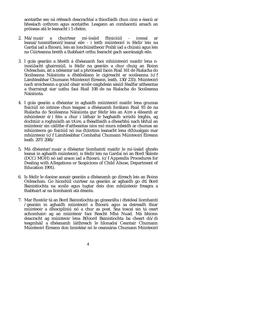aontaithe seo ná réiteach deacrachtaí a thiocfaidh chun cinn a éascú ar bhealach cothrom agus aontaithe. Leagann an comhaontú amach an próiseas atá le leanacht i 5 chéim.

- 2. Má/nuair a chuirtear mí-úsáid fhisiciúil ionsaí ar leanaí/tuismitheoirí/leanaí eile - i leith múinteoirí is féidir leis na Gardaí iad a fhiosrú, leis an Ionchúisitheoir Poiblí iad a chúisiú agus leis na Cúirteanna breith a thabhairt orthu fearacht gach saoránaigh eile.
- 3. I gcás gearáin a bheith á dhéanamh faoi mhúinteoirí maidir lena ninniúlacht ghairmiúil, is féidir na gearáin a chur chuig an Roinn Oideachais, áit a ndéantar iad a phróiseáil faoin Riail 161 de Rialacha do Scoileanna Náisiúnta a dhéileálann le cigireacht ar scoileanna (c/f Lámhleabhar Chumann Múinteoirí Éireann, leath. 130/235). Múinteoirí nach sroicheann a gcuid obair scoile caighdeán sásúil féadfar aitheantas a tharraingt siar uathu faoi Riail 108 de na Rialacha do Scoileanna Náisiúnta.
- 4. I gcás gearán a dhéantar in aghaidh múinteoirí maidir lena gcumas fisiciúil nó intinne chun teagasc a dhéanamh forálann Riail 93 de na Rialacha do Scoileanna Náisiúnta gur féidir leis an Aire a éileamh ar mhúinteoir é/í féin a chur i láthair le haghaidh scrúdú leighis, ag dochtúir a roghnóidh an tAire, a fhéadfaidh a dhearbhú nach bhfuil an múinteoir sin cáilithe d'aitheantas níos mó mura mbeidh ar chumas an mhúinteora go fisiciúil nó ina (h)intinn leanacht lena d(h)ualgais mar mhúinteoir (c/f Lámhleabhar Comhaltaí Chumann Múinteoirí Éireann leath. 207/208)/
- 5. Má dhéantar/nuair a dhéantar líomhaintí maidir le mí-úsáid ghnéis leanaí in aghaidh múinteoirí, is féidir leis na Gardaí nó an Bord Sláinte (DCC/MOH) nó iad araon iad a fhiosrú. (c/f Appendix Procedures for Dealing with Allegations or Suspicions of Child Abuse, Department of Education 1991).
- 6. Is féidir le daoine aonair gearáin a dhéanamh go díreach leis an Roinn Oideachais. Go hiondúil cuirtear na gearáin ar aghaidh go dtí Bord Bainistíochta na scoile agus tugtar deis don mhúinteoir freagra a thabhairt ar na líomhaintí atá déanta.
- 7. Mar fhostóir tá an Bord Bainistíochta go ginearálta i dteideal líomhaintí /gearáin in aghaidh múinteoirí a fhiosrú agus sa deireadh thiar múinteoir a dhisciplíniú nó a chur as post. Sna toscaí sin tá ceart achomhairc ag an múinteoir faoi Reacht Mhá Nuad. Má bhíonn deacracht ag múinteoir lena B(h)ord Bainistíochta ba cheart dó/di teagmháil a dhéanamh láithreach le hIonadaí Ceantair Chumann Múinteoirí Éireann don limistéar nó le ceannáras Chumann Múinteoirí
	- 4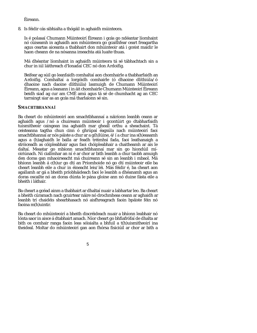Éireann.

8. Is féidir cás sibhialta a thógáil in aghaidh múinteora.

Is é polasaí Chumann Múinteoirí Éireann i gcás go ndéantar líomhaint nó cúiseamh in aghaidh aon mhúinteora go gcaithfear ceart freagartha agus ceartas aiceanta a thabhairt don mhúinteoir atá i gceist maidir le haon cheann de na nósanna imeachta atá luaite thuas.

Má dhéantar líomhaint in aghaidh múinteora tá sé tábhachtach sin a chur in iúl láithreach d'Ionadaí CEC nó don Ardoifig.

Beifear ag súil go leanfaidh comhaltaí aon chomhairle a thabharfaidh an A rdoifig. Comhaltaí a lorgóidh comhairle (ó dhaoine dlíthiúla/ó dhaoine nach daoine dlíthiúla) lasmuigh de Chumann Múinteoirí Éireann, agus a leanann í in áit chomhairle Chumann Múinteoirí Éireann beidh siad ag cur am CMÉ amú agus tá sé de chumhacht ag an CEC tarraingt siar as an gcás má tharlaíonn sé sin.

#### **SMACHTBHANNAÍ**

Ba cheart do mhúinteoirí aon smachtbhannaí a náiríonn leanbh ceann ar aghaidh agus /nó a chuireann múinteoir i gcontúirt go dtabharfaidh tuismitheoir caingean ina aghaidh mar gheall orthu a sheachaint. Tá ceisteanna tagtha chun cinn ó ghrúpaí éagsúla nach múinteoirí faoi smachtbhannaí ar nós páiste a chur ar a g(h)lúine, é/í a chur ina s(h)easamh agus a (h)aghaidh le balla ar feadh tréimhsí fada, faoi leathanaigh a stróiceadh as cóipleabhair agus faoi chóipleabhair a chaitheamh ar ais le daltaí. Meastar go mbíonn smachtbhannaí mar sin go hiondúil míoiriúnach. Ní ciallmhar an ní é ar chor ar bith leanbh a chur taobh amuigh den doras gan mhaoirseacht má chuireann sé sin an leanbh i mbaol. Má bhíonn leanbh á c(h)ur go dtí an Príomhoide nó go dtí múinteoir eile ba cheart leanbh eile a chur in éineacht leis/léi. Más féidir é, ba cheart aon agallamh ar gá a bheith príobháideach faoi le leanbh a dhéanamh agus an doras oscailte nó an doras dúnta le pána gloine ann nó duine fásta eile a bheith i láthair.

Ba cheart a gcéad ainm a thabhairt ar dhaltaí nuair a labhartar leo. Ba cheart a bheith cúramach nach gcuirtear náire nó drochmheas ceann ar aghaidh ar leanbh trí chaidéis shearbhasach nó aisfhreagrach faoin bpáiste féin nó faoina m(h)uintir.

Ba cheart do mhúinteoirí a bheith discréideach nuair a bhíonn leabhair nó lónta saor in aisce á dtabhairt amach. Níor cheart go bhfiafrófaí de dhalta ar bith os comhair ranga faoin leas sóisialta a bhfuil a t(h)uismitheoirí ina theideal. Moltar do mhúinteoirí gan aon fhórsa fisiciúil ar chor ar bith a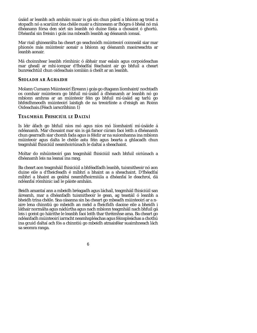úsáid ar leanbh ach amháin nuair is gá sin chun páistí a bhíonn ag troid a stopadh nó a scarúint óna chéile nuair a chinneann ar fhógra ó bhéal nó má dhéanann fórsa den sórt sin leanbh nó duine fásta a chosaint ó ghortú. Dhéanfaí sin freisin i gcás ina mbeadh leanbh ag déanamh ionsaí.

Mar riail ghinearálta ba cheart go seachnódh múinteoirí coinneáil siar mar phionós más múinteoir aonair a bhíonn ag déanamh maoirseachta ar leanbh aonair.

Má choinnítear leanbh rómhinic ó ábhair mar ealaín agus corpoideachas mar gheall ar mhí-iompar d'fhéadfaí féachaint air go bhfuil a cheart bunreachtúil chun oideachais iomláin á cheilt ar an leanbh.

#### **SEOLADH AR AGHAIDH**

Molann Cumann Múinteoirí Éireann i gcás go dtagann líomhaint/nochtadh os comhair múinteora go bhfuil mí-úsáid á dhéanamh ar leanbh nó go mbíonn amhras ar an múinteoir féin go bhfuil mí-úsáid ag tarlú go bhfeidhmeodh múinteoirí laistigh de na treoirlínte a d'eisigh an Roinn Oideachais.(Féach iarscríbhinn 1)

## **TEAGMHÁIL FHISICIÚIL LE DALTAÍ**

Is léir áfach go bhfuil níos mó agus níos mó líomhaintí mí-úsáide á ndéanamh. Mar chosaint mar sin is gá faraor cúram faoi leith a dhéanamh chun gearradh siar chomh fada agus is féidir ar na suíomhanna ina mbíonn múinteoir agus dalta le chéile astu féin agus bearta a ghlacadh chun teagmháil fhisiciúil neamhoiriúnach le daltaí a sheachaint.

Moltar do mhúinteoirí gan teagmháil fhisiciúil nach bhfuil oiriúnach a dhéanamh leis na leanaí ina rang.

Ba cheart aon teagmháil fhisiciúil a bhféadfadh leanbh, tuismitheoir nó aon duine eile a d'fheicfeadh é míbhrí a bhaint as a sheachaint. D'fhéadfaí míbhrí a bhaint as geáitsí neamhfhoirmiúla a dhéanfaí le deachroí, dá ndéanfaí rómhinic iad le páiste amháin.

Beidh amantaí ann a mbeidh bréagadh agus láchaíl, teagmháil fhisiciúil san áireamh, mar a dhéanfadh tuismitheoir le gean, ag teastáil ó leanbh a bheidh trína chéile. Sna cásanna sin ba cheart go mbeadh múinteoirí ar a naire lena chinntiú go mbeidh an méid a fheicfidh daoine eile a bheidh i láthair normálta agus nádúrtha agus nach mbíonn teagmháil nach bhfuil gá leis i gceist go háirithe le leanbh faoi leith thar thréimhse ama. Ba cheart go ndéanfadh múinteoirí iarracht neamhspléachas agus féinspleáchas a chothú ina gcuid daltaí ach fós a chinntiú go mbeidh atmaisféar suaimhneach lách sa seomra ranga.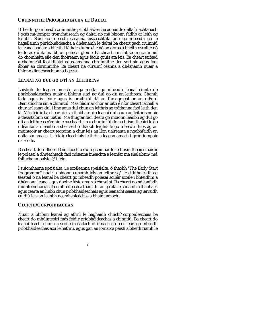## **CRUINNITHE PRÍOBHÁIDEACHA LE DALTAÍ**

B'fhéidir go mbeadh cruinnithe príobháideacha aonair le daltaí riachtanach i gcás mí-iompar tromchúiseach ag daltaí nó má bhíonn fadhb ar leith ag leanbh. Siúd go mbeadh cásanna eisceachtúla ann go mbeadh gá le hagallaimh phríobháideacha a dhéanamh le daltaí ba cheart gach cruinniú le leanaí aonair a bheith i láthair duine eile nó an doras a bheith oscailte nó le doras dúnta ina bhfuil painéal gloine. Ba cheart a insint faoin gcruinniú do chomhalta eile den fhoireann agus faoin gcúis atá leis. Ba cheart taifead a choinneáil faoi dhátaí agus amanna chruinnithe den sórt sin agus faoi ábhar an chruinnithe. Ba cheart na cúraimí céanna a dhéanamh nuair a bhíonn diancheachtanna i gceist.

## **LEANAÍ AG DUL GO DTÍ AN LEITHREAS**

Laistigh de leagan amach ranga moltar go mbeadh leanaí cinnte de phríobháideachas nuair a bhíonn siad ag dul go dtí an leithreas. Chomh fada agus is féidir agus is praiticiúil tá an fhreagracht ar an mBord Bainistíochta sin a chinntiú. Más féidir ar chor ar bith é níor cheart iachall a chur ar leanaí dul i líne agus dul chun an leithris ag tráthanna faoi leith den lá. Más féidir ba cheart deis a thabhairt do leanaí dul chun an leithris nuair a theastaíonn sin uathu. Má thugtar faoi deara go mbíonn leanbh ag dul go dtí an leithreas rómhinic ba cheart sin a chur in iúl do na tuismitheoirí le go ndéanfar an leanbh a sheiceáil ó thaobh leighis le go mbeidh fhios ag an múinteoir ar cheart teorainn a chur leis an líon uaireanta a ngabhfaidh an dalta sin amach. Is féidir cleachtais leithris a leagan amach i gcód iompair na scoile.

Ba cheart don Bhord Bainistíochta dul i gcomhairle le tuismitheoirí maidir le polasaí a dhréachtadh faoi nósanna imeachta a leanfar má shalaíonn/má fhliuchann páiste é/í féin.

I suíomhanna speisialta, i.e scoileanna speisialta, ó thaobh "The Early Start Programme" nuair a bhíonn cúnamh leis an leithreas/ le cithfholcadh ag teastáil ó na leanaí ba cheart go mbeadh polasaí soiléir scoile i bhfeidhm a dhéanann leanaí agus daoine fásta araon a chosaint. Ba cheart go ndéanfadh múinteoirí iarracht comhréiteach a fháil idir an gá atá le cúnamh a thabhairt agus cearta an linbh chun príobháideachais agus leanacht seasta ag iarraidh cuidiú leis an leanbh neamhspleáchas a bhaint amach.

#### **CLUICHÍ/CORPOIDEACHAS**

Nuair a bhíonn leanaí ag athrú le haghaidh cluichí/corpoideachais ba cheart do mhúinteoirí más féidir príobháideachas a chinntiú. Ba cheart do leanaí teacht chun na scoile in éadach oiriúnach nó ba cheart go mbeadh príobháideachas acu le hathrú, agus gan an iomarca páistí a bheith riamh le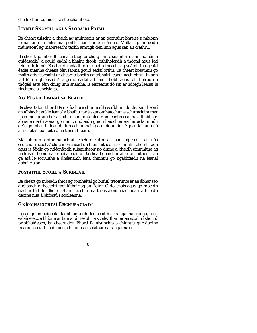chéile chun bulaíocht a sheachaint etc.

## **LINNTE SNÁMHA AGUS SAORÁIDÍ POIBLÍ**

Ba cheart tuiscint a bheith ag múinteoirí ar an gcontúirt bhreise a mbíonn leanaí ann in áiteanna poiblí mar linnte snámha. Moltar go mbeadh múinteoirí ag maoirseacht taobh amuigh den linn agus san áit d'athrú.

Ba cheart go mbeadh leanaí a thugtar chuig linnte snámha in ann iad féin a ghléasadh/ a gcuid éadaí a bhaint díobh, cithfholcadh a thógáil agus iad féin a thriomú. Ba cheart moladh do leanaí a theacht ag snámh ina gcuid éadaí snámha cheana féin faoina gcuid éadaí orthu. Ba cheart breathnú go maith arís féachaint ar cheart a bheith ag tabhairt leanaí nach bhfuil in ann iad féin a ghléasadh/ a gcuid éadaí a bhaint díobh agus cithfholcadh a thógáil astu féin chuig linn snámha. Is eisceacht dó sin ar ndóigh leanaí le riachtanais speisialta.

## **AG FÁGÁIL LEANAÍ SA BHAILE**

Ba cheart don Bhord Bainistíochta a chur in iúl i scríbhinn do thuismitheoirí an tábhacht atá le leanaí a bhailiú tar éis gníomhaíochtaí eischuraclaim mar nach moltar ar chor ar bith d'aon mhúinteoir an leanbh céanna a thabhairt abhaile ina (h)aonar go minic i ndiaidh gníomhaíochtaí eischuraclaim nó i gcás go mbeadh leanbh tinn ach amháin go mbíonn fíor-éigeandáil ann nó ar iarratas faoi leith ó na tuismitheoirí.

Má bhíonn gníomhaíochtaí eischuraclaim ar bun ag scoil ar nós ceolchoirmeacha/cluichí ba cheart do thuismitheoirí a chinntiú chomh fada agus is féidir go ndéanfaidh tuismitheoir nó duine a bheidh ainmnithe ag na tuismitheoirí na leanaí a bhailiú. Ba cheart go ndéarfaí le tuismitheoirí an gá atá le socruithe a dhéanamh lena chinntiú go ngabhfaidh na leanaí abhaile slán.

#### **FOSTAITHE SCOILE A SCRÍNEÁIL**

Ba cheart go mbeadh fhios ag comhaltaí go bhfuil treoirlínte ar an ábhar seo á réiteach d'fhostóirí faoi láthair ag an Roinn Oideachais agus go mbeidh siad ar fáil do Bhoird Bhainistíochta má theastaíonn siad nuair a bheidh daoine nua á bhfostú i scoileanna.

## **GNÍOMHAÍOCHTAÍ EISCHURACLAIM**

I gcás gníomhaíochtaí taobh amuigh den scoil mar ranganna teanga, ceol, ealaíne etc, a bhíonn ar bun ar áitreabh na scoile/thart ar an scoil trí shocrú príobháideach, ba cheart don Bhord Bainistíochta a chinntiú gur daoine freagracha iad na daoine a bhíonn ag soláthar na ranganna sin.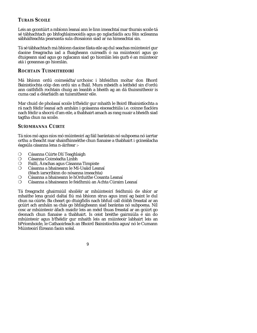## **TURAIS SCOILE**

Leis an gcontúirt a mbíonn leanaí ann le linn imeachtaí mar thurais scoile tá sé tábhachtach go bhfoghlaimeoidís agus go nglacfaidís acu féin scileanna sábháilteachta pearsanta sula dtosaíonn siad ar na himeachtaí sin.

Tá sé tábhachtach má bhíonn daoine fásta eile ag dul seachas múinteoirí gur daoine freagracha iad a fhaigheann cuireadh ó na múinteoirí agus go dtuigeann siad agus go nglacann siad go hiomlán leis gurb é an múinteoir atá i gceannas go hiomlán.

## **ROCHTAIN TUISMITHEOIRÍ**

Má bhíonn ordú coimeádta/urchoisc i bhfeidhm moltar don Bhord Bainistíochta cóip den ordú sin a fháil. Mura mbeidh a leithéid sin d'ordú ann caithfidh rochtain chuig an leanbh a bheith ag an dá thuismitheoir is cuma cad a déarfaidh an tuismitheoir eile.

Mar chuid de pholasaí scoile b'fhéidir gur mhaith le Boird Bhainistíochta a rá nach féidir leanaí ach amháin i gcásanna eisceachtúla i.e. coinne fiaclóra nach féidir a shocrú d'am eile, a thabhairt amach as rang nuair a bheidh siad tagtha chun na scoile.

## **SUÍOMHANNA CÚIRTE**

Tá níos mó agus níos mó múinteoirí ag fáil barántais nó subpoena nó iarrtar orthu a theacht mar shainfhinnéithe chun fianaise a thabhairt i gcineálacha éagsúla cásanna lena n-áirítear :-

- Cásanna Cúirte Dlí Teaghlaigh m
- Cásanna Coiméadta Linbh  ${\sf m}$
- Faillí, Árachas agus Cásanna Timpiste  $m$
- Cásanna a bhaineann le Mí-Usáid Leanaí  ${\sf m}$ (féach iarscríbinn do nósanna imeachta)
- Cásanna a bhaineann le hOrduithe Cosanta Leanaí m
- m Cásanna a bhaineann le feidhmiú an Achta Cúraim Leanaí

Tá freagracht ghairmiúil shoiléir ar mhúinteoirí feidhmiú de shíor ar mhaithe lena gcuid daltaí fiú má bhíonn strus agus imní ag baint le dul chun na cúirte. Ba cheart go dtuigfidís nach bhfuil call dóibh freastal ar an gcúirt ach amháin sa chás go bhfaigheann siad barántas nó subpoena. Níl cosc ar mhúinteoir áfach maidir leis an méid thuas freastal ar an gcúirt go deonach chun fianaise a thabhairt. Is ceist breithe gairmiúla é sin do mhúinteoir agus b'fhéidir gur mhaith leis an múinteoir labhairt leis an bPríomhoide, le Cathaoirleach an Bhoird Bainistíochta agus/nó le Cumann Múinteoirí Éireann faoin scéal.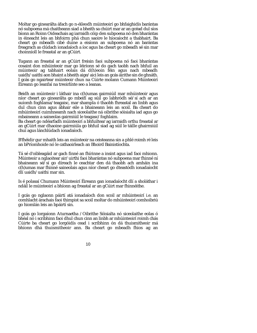Moltar go ginearálta áfach go n-éileodh múinteoirí go bhfaighidís barántas nó subpoena má chaitheann siad a bheith sa chúirt mar ar an gcéad dul síos bíonn an Roinn Oideachais ag iarraidh cóip den subpoena nó den bharántas in éineacht leis an bhfoirm phá chun saoire le híocaíocht a thabhairt. Ba cheart go mbeadh cibé duine a eisíonn an subpoena nó an barántas freagrach as clúdach ionadaíoch a íoc agus ba cheart go mbeadh sé sin mar choinníoll le freastal ar an gCúirt.

Tugann an freastal ar an gCúirt freisin faoi subpoena nó faoi bharántas cosaint don mhúinteoir mar go léiríonn sé do gach taobh nach bhfuil an múinteoir ag tabhairt eolais dá d(h)eoin féin agus nach mbeadh uaidh/uaithi aon bhaint a bheith aige/aici leis an gcás áirithe sin de ghnáth. I gcás go ngairtear múinteoir chun na Cúirte molann Cumann Múinteoirí Éireann go leanfaí na treoirlínte seo a leanas.

Beidh an múinteoir i láthair ina c(h)umas gairmiúil mar mhúinteoir agus níor cheart go ginearálta go mbeifí ag súil go labhródh sé/sí ach ar an suíomh foghlama/teagaisc, mar shampla ó thaobh fhreastal an linbh agus dul chun cinn agus ábhair eile a bhaineann leis an scoil. Ba cheart do mhúinteoirí cuimhneamh nach siceolaithe ná oibrithe sóisialta iad agus go mbaineann a saineolas gairmiúil le teagasc/foghlaim.

Ba cheart go ndéarfadh múinteoirí a bhfuiltear ag iarraidh orthu freastal ar an gCúirt mar dhaoine gairmiúla go bhfuil siad ag súil le táille ghairmiúil chuí agus lánchlúdach ionadaíoch.

B'fhéidir gur mhaith leis an múinteoir na ceisteanna sin a phlé roimh ré leis an bPríomhoide nó le cathaoirleach an Bhoird Bainistíochta.

Tá sé d'oibleagáid ar gach finné an fhírinne a insint agus iad faoi mhionn. Múinteoir a nglaoitear air/uirthi faoi bharántas nó subpoena mar fhinné ní bhaineann sé/sí go díreach le ceachtar den dá thaobh ach amháin ina c(h)umas mar fhinné saineolais agus níor cheart go dteastódh ionadaíocht dlí uaidh/uaithi mar sin.

Is é polasaí Chumann Múinteoirí Éireann gan ionadaíocht dlí a sholáthar i ndáil le múinteoirí a bhíonn ag freastal ar an gCúirt mar fhinnéithe.

I gcás go nglaonn páirtí atá ionadaíoch don scoil ar mhúinteoirí i.e. an comhlacht árachais faoi thimpist sa scoil moltar do mhúinteoirí comhoibriú go hiomlán leis an bpáirtí sin.

I gcás go lorgaíonn Aturnaetha /Oibrithe Sóisialta nó siceolaithe eolas ó bhéal nó i scríbhinn faoi dhul chun cinn an linbh ar mhúinteoirí roimh chás Cúirte ba cheart go lorgóidís cead i scríbhinn ón dá thuismitheoir má bhíonn dhá thuismitheoir ann. Ba cheart go mbeadh fhios ag an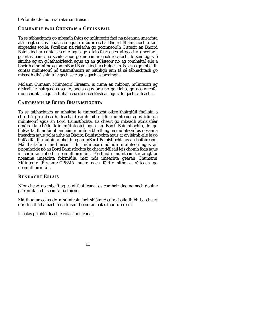bPríomhoide faoin iarratas sin freisin.

## **COMHAIRLE FAOI CHUNTAIS A CHOINNEÁIL**

Tá sé tábhachtach go mbeadh fhios ag múinteoirí faoi na nósanna imeachta atá leagtha síos i rialacha agus i mbunreactha Bhoird Bhainistíochta faoi airgeadas scoile. Forálann na rialacha go gcoinneoidh Cisteoir an Bhoird Bainistíochta cuntais scoile agus go dtaiscfear gach airgead a gheofar i gcuntas bainc na scoile agus go ndeánfar gach íocaíocht le seic agus é sínithe ag an gCathaoirleach agus ag an gCisteoir nó ag comhaltaí eile a bheidh ainmnithe ag an mBord Bainistíochta chuige sin. Sa chás go mbeidh cuntas múinteoirí nó tuismitheoirí ar leithligh ann tá sé tábhachtach go mbeadh dhá shíniú le gach seic agus gach astarraingt .

Molann Cumann Múinteoirí Éireann, is cuma an mbíonn múinteoirí ag déileáil le hairgeadas scoile, anois agus arís nó go rialta, go gcoinneofaí mionchuntais agus admhálacha do gach lóisteáil agus do gach caiteachas.

## **CAIDREAMH LE BOIRD BHAINISTÍOCHTA**

Tá sé tábhachtach ar mhaithe le timpeallacht oibre tháirgiúil fholláin a chruthú go mbeadh deachaidreamh oibre idir múinteoirí agus idir na múinteoirí agus an Bord Bainistíochta. Ba cheart go mbeadh atmaisféar omóis dá chéile idir múinteoirí agus an Bord Bainistíochta, le go bhféadfaidh ar láimh amháin muinín a bheith ag na múinteoirí as nósanna imeachta agus polasaithe an Bhoird Bainistíochta agus ar an láimh eile le go bhféadfaidh muinín a bheith ag an mBord Bainistíochta as an bhfoireann. Má tharlaíonn mí-thuiscint idir múinteoirí nó idir múinteoir agus an príomhoide nó an Bord Bainistíochta ba cheart déileáil leis chomh fada agus is féidir ar mhodh neamhfhoirmiúil. Féadfaidh múinteoir tarraingt ar nósanna imeachta foirmiúla, mar nós imeachta gearán Chumann Múinteoirí Éireann/CPSMA nuair nach féidir nithe a réiteach go neamhfhoirmiúil.

## **RÚNDACHT EOLAIS**

Níor cheart go mbeifí ag caint faoi leanaí os comhair daoine nach daoine gairmiúla iad i seomra na foirne.

Má thugtar eolas do mhúinteoir faoi shláinte/cúlra baile linbh ba cheart dó/di a fháil amach ó na tuismitheoirí an eolas faoi rún é sin.

Is eolas príbhléideach é eolas faoi leanaí.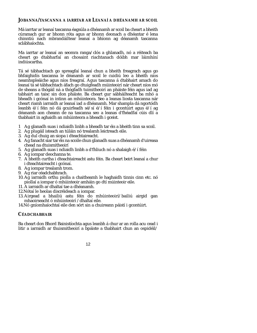#### **JOBANNA/TASCANNA A IARRTAR AR LEANAÍ A DHÉANAMH AR SCOIL**

Má iarrtar ar leanaí tascanna éagsúla a dhéanamh ar scoil ba cheart a bheith cúramach gur ar bhonn róta agus ar bhonn deonach a dhéantar é lena chinntiú nach mbrandáiltear leanaí a bhíonn ag déanamh tascanna sclábhaíochta.

Ma iarrtar ar leanaí an seomra ranga/clós a ghlanadh, nó a réiteach ba cheart go dtabharfaí an chosaint riachtanach dóibh mar láimhíní indiúscartha.

Tá sé tábhachtach go spreagfaí leanaí chun a bheith freagrach agus go bhfaighidís tascanna le déanamh ar scoil le cuidiú leo a bheith níos neamhspleáiche agus níos freagraí. Agus tascanna á dtabhairt amach do leanaí tá sé tábhachtach áfach go dtuigfeadh múinteoirí nár cheart níos mó de sheans a thógáil ná a thógfadh tuimitheoirí an pháiste féin agus iad ag tabhairt an taisc sin don pháiste. Ba cheart gur sábháilteacht ba mhó a bheadh i gcónaí in intinn an mhúinteora. Seo a leanas liosta tascanna nár cheart riamh iarraidh ar leanaí iad a dhéanamh. Mar shampla dá ngortódh leanbh é/í féin nó dá gcuirfeadh sé/sí é/í féin i gcontúirt agus é/í ag déanamh aon cheann de na tascanna seo a leanas d'fhéadfaí cúis dlí a thabhairt in aghaidh an mhúinteora a bheadh i gceist.

- 1 Ag glanadh suas i ndiaidh linbh a bheadh tar éis a bheith tinn sa scoil.
- 2. Ag plugáil isteach an túláin nó trealamh leictreach eile.
- 3. Ag dul chuig an siopa i dteachtaireacht.
- 4. Ag fanacht siar tar éis na scoile chun glanadh suas a dhéanamh d'uireasa chead na dtuismitheoirí
- 5. Ag glanadh suas i ndiaidh linbh a d'fhliuch nó a shalaigh é/í féin
- 6. Ag iompar deochanna te.
- 7. A bheith curtha i dteachtaireacht astu féin. Ba cheart beirt leanaí a chur i dteachtaireacht i gcónaí.
- 8. Ag iompar trealamh trom.
- 9. Ag riar céadchabhrach.
- 10. Ag iarraidh orthu piolla a chaitheamh le haghaidh tinnis cinn etc. nó piollaí a iompar ó mhúinteoir amháin go dtí múinteoir eile.
- 11. A iarraidh ar dhaltaí tae a dhéanamh.
- 12.Nótaí le heolas discréideach a iompar.
- 13. Airgead a bhailiú astu féin do mhúinteoirí/bailiú airgid gan mhaoirseacht ó mhúinteoirí /dhaltaí eile.
- 14.Nó gníomhaíochtaí eile den sórt sin a chuireann páistí i gcontúirt.

## **CÉADCHABHAIR**

Ba cheart don Bhord Bainistíochta agus leanbh á chur ar an rolla acu cead i litir a iarraidh ar thuismitheoirí a bpáiste a thabhairt chun an ospidéil/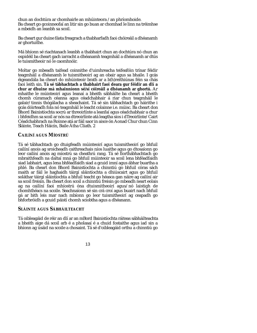chun an dochtúra ar chomhairle an mhúinteora /an phríomhoide. Ba cheart go gcoinneofaí an litir sin go buan ar chomhad le linn na tréimhse a mbeidh an leanbh sa scoil.

Ba cheart gur duine fásta freagrach a thabharfadh faoi chóireáil a dhéanamh ar ghortuithe.

Má bhíonn sé riachtanach leanbh a thabhairt chun an dochtúra nó chun an ospidéil ba cheart gach iarracht a dhéanamh teagmháil a dhéanamh ar dtús le tuismitheoir nó le caomhnóir.

Moltar go mbeadh taifead coinnithe d'uimhreacha teifeafóin trínar féidir teagmháil a dhéanamh le tuismitheoirí ag an obair agus sa bhaile. I gcás éigeandála ba cheart do mhúinteoir brath ar a b(h)reithiúnas féin sa chás faoi leith sin. **Tá sé tábhachtach a thabhairt faoi deara gur féidir an dlí a chur ar dhuine má mhainníonn sé/sí cóireáil a dhéanamh ar ghortú.** Ar mhaithe le múinteoirí agus leanaí a bheith sábháilte ba cheart a bheith chomh cúramach céanna agus céadchabhair á riar chun teagmháil le galair/tinnis thógálacha a sheachaint. Tá sé sin tábhachtach go háirithe i gcás dóirteadh fola nó teagmháil le leacht colainne i.e. múisc. Ba cheart don Bhord Bainistíochta socrú ar threoirlínte a leanfaí agus céadchabhair a chur i bhfeidhm sa scoil ar nós na dtreoirlínte atá leagtha síos i dTreoirlínte/Cairt Céadchabhrach na Roinne atá ar fáil saor in aisce ón Aonad Chur chun Cinn Sláinte, Teach Háicín, Baile Átha Cliath. 2

## **CAILÍNÍ AGUS MÍOSTRÚ**

Tá sé tábhachtach go dtuigfeadh múinteoirí agus tuismitheoirí go bhfuil cailíní anois ag sroicheadh caithreachais níos luaithe agus go dtosaíonn go leor cailíní anois ag míostrú sa cheathrú rang. Tá sé fíorthábhachtach go mbraithfeadh na daltaí mná go bhfuil múinteoir sa scoil lena bhféadfaidh siad labhairt, agus lena bhféadfaidh siad a gcuid imní agus ábhar buartha a phlé. Ba cheart don Bhord Bainistíochta a chinntiú go bhfuil córas sách maith ar fáil le haghaidh táirgí sláintíochta a dhiúscairt agus go bhfuil soláthar táirgí sláintíochta a bhfuil teacht go héasca gan náire ag cailíní air sa scoil freisin. Ba cheart don scoil a chinntiú freisin go mbeadh neart eolais ag na cailíní faoi mhíostrú óna dtuismitheoirí agus/nó laistigh de chomhthéacs na scoile. Seachnaíonn sé sin crá croí agus buairt nach bhfuil gá ar bith leis mar nach mbíonn go leor tuismitheoirí ag ceapadh go bhforbróidh a gcuid páistí chomh sciobtha agus a dhéanann.

#### **SLÁINTE AGUS SÁBHÁILTEACHT**

Tá oibleagáid de réir an dlí ar an mBord Bainistíochta ráiteas sábháilteachta a bheith aige dá scoil arb é a pholasaí é a chuid fostaithe agus iad sin a bhíonn ag úsáid na scoile a chosaint. Tá sé d'oibleagáid orthu a chinntiú go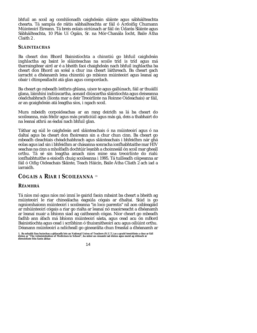bhfuil an scoil ag comhlíonadh caighdeáin sláinte agus sábháilteachta chearta. Tá sampla de ráitis sábhailteachta ar fáil ó Ardoifig Chumann Múinteoirí Éireann. Tá breis eolais oiriúnach ar fáil ón Údarás Sláinte agus Sábháilteachta, 10 Plás Uí Ógáin, Sr. na Mór-Chanála Íocht, Baile Átha Claith 2 .

#### **SLÁINTEACHAS**

Ba cheart don Bhord Bainistíochta a chinntiú go bhfuil caighdeán inghlactha ag baint le sláinteachas na scoile tríd is tríd agus má tharraingítear aird ar é a bheith faoi chaighdeán nach bhfuil inghlactha ba cheart don Bhord an scéal a chur ina cheart láithreach. Ba cheart gach iarracht a dhéanamh lena chinntiú go mbíonn múinteoirí agus leanaí ag obair i dtimpeallacht atá glan agus compordach.

Ba cheart go mbeadh leithris ghlana, uisce te agus gallúnach, fáil ar thuáillí glana, láimhíní indiúscartha, aonaid diúscartha sláintíochta agus deiseanna céadchabhrach (líonta mar a deir Treoirlínte na Roinne Oideachais) ar fáil, ar an gcaighdeán atá leagtha síos, i ngach scoil.

Mura mbeidh corpoideachas ar an rang deiridh sa lá ba cheart do scoileanna, más féidir agus más praiticiúil agus más gá, deis a thabhairt do na leanaí athrú as éadaí nach bhfuil glan.

Táthar ag súil le caighdeán ard sláinteachais ó na múinteoirí agus ó na daltaí agus ba cheart don fhoireann sin a chur chun cinn. Ba cheart go mbeadh cleachtais chéadchabhrach agus sláinteachais i bhfeidhm nár ghá eolas agus iad sin i bhfeidhm ar chásanna sonracha ionfhabhtaithe mar HIV seachas na cinn a mholfadh dochtúir leanbh a choinneáil ón scoil mar gheall orthu. Tá sé sin leagtha amach níos mine sna treoirlínte do rialú ionfhabhtuithe a eisíodh chuig scoileanna i 1995. Tá tuilleadh cóipeanna ar fáil ó Oifig Oideachais Sláinte, Teach Háicín, Baile Átha Cliath 2 ach iad a iarraidh.

## **CÓGAIS A RIAR I SCOILEANNA** (1)

#### **RÉAMHRÁ**

Tá níos mó agus níos mó imní le gairid faoin mbaint ba cheart a bheith ag múinteoirí le riar chineálacha éagsúla cógais ar dhaltaí. Siúd is go ngníomhaíonn múinteoirí i scoileanna "in loco parentis" níl aon oibleagáid ar mhúinteoirí cógais a riar go rialta ar leanaí nó maoirseacht a dhéanamh ar leanaí nuair a bhíonn siad ag caitheamh cógas. Níor cheart go mbeadh fadhb ann áfach má bhíonn múinteoirí sásta, agus cead acu ón mBord Bainistíochta agus cead i scríbhinn ó thuismitheoirí acu agus oiliúint orthu. Déanann múinteoirí a ndícheall go ginearálta chun freastal a dhéanamh ar

<sup>1.</sup> Ba mhaith linn buíochas a ghlacadh leis an National Union of Teachers (N.U.T.) as a gcuid treoirlínte a chur ar fáil<br>dúinn ar "The Administration of Medicines in School", ba mhór an cúnamh iad dúinn agus muid ag réiteac

<sup>14</sup>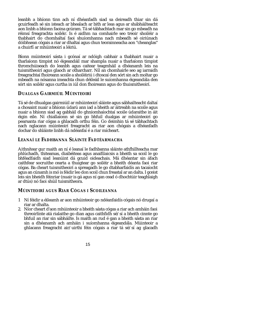leanbh a bhíonn tinn ach ní dhéanfadh siad sa deireadh thiar sin dá gcuirfeadh sé sin isteach ar bhealach ar bith ar leas agus ar shábháilteacht aon linbh a bhíonn faoina gcúram. Tá sé tábhachtach mar sin go mbeadh na réimsí freagrachta soiléir. Is é aidhm na comhairle seo treoir shoiléir a thabhairt do chomhaltaí faoi shuíomhanna nach mbeadh sé oiriúnach dóibhsean cógais a riar ar dhaltaí agus chun teorainneacha aon "cheanglas" a chuirfí ar mhúinteoirí a léiriú.

Bíonn múinteoirí sásta i gcónaí ar ndóigh cabhair a thabhairt nuair a tharlaíonn timpist nó éigeandáil mar shampla nuair a tharlaíonn timpist thromchúiseach do leanbh agus caitear teagmháil a dhéanamh leis na tuismitheoirí agus glaoch ar otharcharr. Níl an chomhairle seo ag iarraidh freagrachtaí fhoireann scoile a shoiléiriú i dtoscaí den sórt sin ach moltar go mbeadh na nósanna imeachta chun déileáil le suíomhanna éigeandála den sórt sin soiléir agus curtha in iúl don fhoireann agus do thuismitheoirí.

## **DUALGAS GAIRMIÚIL MÚINTEOIRÍ**

Tá sé de dhualgas gairmiúil ar mhúinteoirí sláinte agus sábhailteacht daltaí a chosaint nuair a bhíonn údarú ann iad a bheith ar áitreabh na scoile agus nuair a bhíonn siad ag gabháil do ghníomhaíochtaí scoile údaraithe in áit éigin eile. Ní chiallaíonn sé sin go bhfuil dualgas ar mhúinteoirí go pearsanta riar cógas a ghlacadh orthu féin. Go deimhin tá sé tábhachtach nach nglacann múinteoirí freagracht as riar aon chógais a dhéanfadh dochar do shláinte linbh dá ndéanfaí é a riar mícheart.

## **LEANAÍ LE FADHBANNA SLÁINTE FADTÉARMACHA**

Aithnítear gur maith an ní é leanaí le fadhbanna sláinte athfhillteacha mar phlúchadh, thiteamas, diaibéiteas agus anaifilaicsis a bheith sa scoil le go bhféadfaidh siad leanúint dá gcuid oideachais. Má dhéantar sin áfach caithfear socruithe cearta a thuigtear go soiléir a bheith déanta faoi riar cógas. Ba cheart tuismitheoirí a spreagadh le go dtabharfaidís an tacaíocht agus an cúnamh is mó is féidir leo don scoil chun freastal ar an dalta. I gceist leis sin bheidh féinriar (nuair is gá agus ní gan cead ó dhochtúir teaghlaigh ar dtús) nó faoi shúil tuismitheora.

#### **MÚINTEOIRÍ AGUS RIAR CÓGAS I SCOILEANNA**

- 1 Ní féidir a éileamh ar aon mhúinteoir go ndéanfaidís cógais nó drugaí a riar ar dhalta.
- 2. Níor cheart d'aon mhúinteoir a bheith sásta cógas a riar ach amháin faoi threoirlínte atá rialaithe go dian agus caithfidh sé/sí a bheith cinnte go bhfuil an riar sin sábháilte. Is maith an rud é gan a bheith sásta an riar sin a dhéanamh ach amháin i suíomhanna éigeandála. Múinteoir a ghlacann freagracht air/uirthi féin cógais a riar tá sé/sí ag glacadh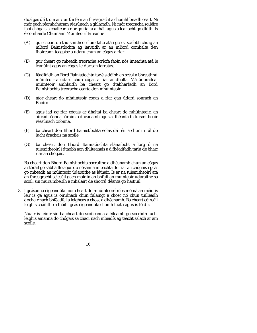dualgas dlí trom air/uirthi féin an fhreagracht a chomhlíonadh ceart. Ní mór gach réamhchúram réasúnach a ghlacadh. Ní mór treoracha soiléire faoi chógais a chaitear a riar go rialta a fháil agus a leanacht go dlúth. Is é comhairle Chumann Múinteoirí Éireann:-

- (A) gur cheart do thuismitheoirí an dalta atá i gceist scríobh chuig an mBord Bainistíochta ag iarraidh ar an mBord comhalta den fhoireann teagaisc a údarú chun an cógas a riar.
- (B) gur cheart go mbeadh treoracha scríofa faoin nós imeachta atá le leanúint agus an cógas le riar san iarratas.
- (C) féadfaidh an Bord Bainistíochta tar éis dóibh an scéal a bhreathnú múinteoir a údarú chun cógas a riar ar dhalta. Má údaraítear múinteoir amhlaidh ba cheart go dtabharfadh an Bord Bainistíochta treoracha cearta don mhúinteoir.
- (D) níor cheart do mhúinteoir cógas a riar gan údarú sonrach an Bhoird.
- (E) agus iad ag riar cógais ar dhaltaí ba cheart do mhúinteoirí an oiread céanna cúraim a dhéanamh agus a dhéanfadh tuismitheoir réasúnach críonna.
- (F) ba cheart don Bhord Bainistíochta eolas dá réir a chur in iúl do lucht árachais na scoile.
- (G) ba cheart don Bhord Bainistíochta slánaíocht a lorg ó na tuismitheoirí i dtaobh aon dhliteanais a d'fhéadfadh tarlú de bharr riar an chógais.

Ba cheart don Bhord Bainistíochta socruithe a dhéanamh chun an cógas a stóráil go sábháilte agus do nósanna imeachta do riar an chógais i gcás go mbeadh an múinteoir údaraithe as láthair. Is ar na tuismitheoirí atá an fhreagracht seiceáil gach maidin an bhfuil an múinteoir údaraithe sa scoil, sin mura mbeidh a mhalairt de shocrú déanta go háitiúil.

3. I gcásanna éigeandála níor cheart do mhúinteoirí níos mó ná an méid is léir is gá agus is oiriúnach chun fulaingt a chosc nó chun tuilleadh dochair nach bhféadfaí a leigheas a chosc a dhéanamh. Ba cheart cóireáil leighis cháilithe a fháil i gcás éigeandála chomh luath agus is féidir.

Nuair is féidir sin ba cheart do scoileanna a éileamh go socródh lucht leighis amanna do chógais sa chaoi nach mbeidís ag teacht salach ar am scoile.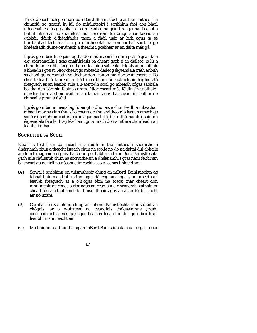Tá sé tábhachtach go n-iarrfadh Boird Bhainistíochta ar thuismitheoirí a chinntiú go gcuirfí in iúl do mhúinteoirí i scríbhinn faoi aon bhail mhíochaine atá ag gabháil d' aon leanbh ina gcuid ranganna. Leanaí a bhfuil titeamas nó diaibíteas nó siondróm turrainge anaifilaicsis ag gabháil dóibh d'fhéadfaidís taom a fháil uair ar bith agus tá sé fíorthábhachtach mar sin go n-aithneofaí na comharthaí sóirt le go bhféadfadh duine oiriúnach a theacht i gcabhair ar an dalta más gá.

I gcás go mbeidh cógais tugtha do mhúinteoirí le riar i gcás éigeandála e.g. aidréanailín i gcás anaifilaicsis ba cheart gurb é an dáileog is lú a chinntíonn teacht slán go dtí go dtiocfaidh saineolaí leighis ar an láthair a bheadh i gceist. Níor cheart go mbeadh dáileog éigeandála tráth ar bith sa chaoi go ndéanfadh sé dochar don leanbh má riartar mícheart é. Ba cheart dearbhú faoi sin a fháil i scríbhinn ón gcleachtóir leighis atá freagrach as an leanbh sula a n-aontódh scoil go mbeadh cógas sábhála beatha den sórt sin faoina cúram. Níor cheart más féidir sin snáthaidí d'instealladh a choinneáil ar an láthair agus ba cheart instealltaí de chineál eipipín a úsáid.

I gcás go mbíonn leanaí ag fulaingt ó dhonais a chuirfeadh a mbeatha i mbaoil mar na cinn thuas ba cheart do thuismitheoirí a leagan amach go soiléir i scríbhinn cad is féidir agus nach féidir a dhéanamh i suíomh éigeandála faoi leith ag féachaint go sonrach do na nithe a chuirfeadh an leanbh i mbaol.

#### **SOCRUITHE SA SCOIL**

Nuair is féidir sin ba cheart a iarraidh ar thuismitheoirí socruithe a dhéanamh chun a theacht isteach chun na scoile nó do na daltaí dul abhaile am lóin le haghaidh cógais. Ba cheart go dtabharfadh an Bord Bainistíochta gach uile chúnamh chun na socruithe sin a dhéanamh. I gcás nach féidir sin ba cheart go gcuirfí na nósanna imeachta seo a leanas i bhfeidhm:-

- (A) Sonraí i scríbhinn ón tuismitheoir chuig an mBord Bainistíochta ag tabhairt ainm an linbh, ainm agus dáileog an chógais; an mbeidh an leanbh freagrach as a c(h)ógas féin; na toscaí inar cheart don mhúinteoir an cógas a riar agus an cead sin a dhéanamh; cathain ar cheart fógra a thabhairt do thuismitheoir agus an áit ar féidir teacht air nó uirthi.
- (B) Comhairle i scríbhinn chuig an mBord Bainistíochta faoi stóráil an chógais, ar a n-áirítear na ceanglais chógaslainne (m.sh. cuisneoireachta más gá) agus bealach lena chinntiú go mbeidh an leanbh in ann teacht air.
- (C) Má bhíonn cead tugtha ag an mBord Bainistíochta chun cógas a riar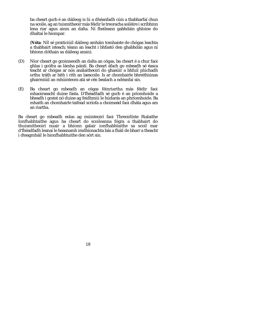ba cheart gurb é an dáileog is lú a dhéanfadh cúis a thabharfaí chun na scoile, ag an tuismitheoir más féidir le treoracha soiléire i scríbhinn lena riar agus ainm an dalta. Ní fheileann gabhdáin ghloine do dhaltaí le hiompar.

(**Nóta**: Níl sé praiticiúil dáileog amháin tomhaiste de chógas leachta a thabhairt isteach; téann an leacht i bhfastó den ghabhdán agus ní bhíonn dóthain sa dáileog ansin).

- (D) Níor cheart go gcoinneodh an dalta an cógas, ba cheart é a chur faoi ghlas i gcófra as lámha páistí. Ba cheart áfach go mbeadh sé éasca teacht ar chógas ar nós análaitheoirí do ghasúir a bhfuil plúchadh orthu tráth ar bith i rith an laescoile. Is ar chomhairle bhreithiúnas ghairmiúil an mhúinteora atá sé cén bealach a ndéanfaí sin.
- (E) Ba cheart go mbeadh an cógas féinriartha más féidir faoi mhaoirseacht duine fásta. D'fhéadfadh sé gurb é an príomhoide a bheadh i gceist nó duine ag feidhmiú le húdarás an phríomhoide. Ba mhaith an chomhairle taifead scríofa a choimeád faoi dháta agus am an riartha.

Ba cheart go mbeadh eolas ag múinteoirí faoi Threoirlínte Rialaithe Ionfhabhtaithe agus ba cheart do scoileanna fógra a thabhairt do thuismitheoirí nuair a bhíonn galair ionfhabhtaithe sa scoil mar d'fhéadfadh leanaí le heasnamh imdhíonachta bás a fháil de bharr a theacht i dteagmháil le hionfhabhtuithe den sórt sin.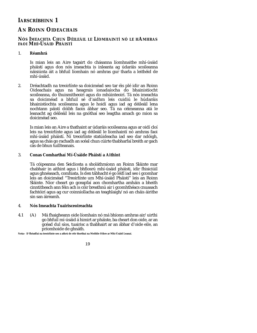# **IARSCRÍBHINN 1**

# **AN ROINN OIDEACHAIS**

## **NÓS IMEACHTA CHUN DÉILEÁIL LE LÍOMHAINTÍ NÓ LE HAMHRAS FAOI MHÍ-ÚSÁID PHÁISTÍ**

## 1. **Réamhrá**

Is mian leis an Aire tagairt do chásanna líomhnaithe mhí-úsáid pháistí agus don nós imeachta is inleanta ag údaráis scoileanna náisiúnta áit a bhfuil líomhain nó amhras gur tharla a leithéid de mhí-úsáid.

2. Dréachtadh na treoirlínte sa doiciméad seo tar éis plé idir an Roinn Oideachais agus na heagrais ionadaíocha do bhainistíocht scoileanna, do thuismitheoirí agus do mhúinteoirí. Tá nós imeachta sa doiciméad a bhfuil sé d'aidhm leis cuidiú le húdaráis bhainistíochta scoileanna agus le hoidí agus iad ag déileáil lena nochtann páistí dóibh faoin ábhar seo. Tá na céimeanna atá le leanacht ag déileáil leis na gnóthaí seo leagtha amach go mion sa doiciméad seo.

Is mian leis an Aire a thathaint ar údaráis scoileanna agus ar oidí cloí leis na treoirlínte agus iad ag déileáil le líomhaintí nó amhras faoi mhí-úsáid pháistí. Ní treoirlínte statúideacha iad seo dar ndóigh, agus sa chás go rachadh an scéal chun cúirte thabharfaí breith ar gach cás de bhun tuillteanais.

#### 3. **Conas Comharthaí Mí-Úsáide Pháistí a Aithint**

Tá cóipeanna den Seicliosta a sholáthraíonn an Roinn Sláinte mar chabhair in aithint agus i bhfiosrú mhí-úsáid pháisti, idir fhisiciúil agus ghnéasach, comhiata. Is den tábhacht é go léifí iad seo i gcomhar leis an doiciméad "Treoirlínte um Mhí-úsáid Pháistí" leis an Roinn Sláinte. Níor cheart go gceapfaí aon chomhartha amháin a bheith cinntitheach ann féin ach is cóir breathnú air i gcomhthéacs cnuasach fachtóirí agus ag cur coinníollacha an teaghlaigh/nó an cháis áirithe sin san áireamh.

#### 4. **Nós Imeachta Tuairisceoireachta**

4.1 (A) Má fhaigheann oide líomhain nó má bhíonn amhras air/uirthi go bhfuil mí-úsáid á himirt ar pháiste, ba cheart don oide, ar an gcéad dul síos, tuairisc a thabhairt ar an ábhar d'oide eile, an príomhoide de ghnáth.

**Nota:- D'fhéadfaí na treoirlínte seo a athrú de réir thorthaí na Meithle Oibre ar Mhí-Úsáid Leanaí.**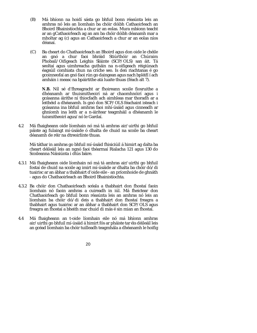- (B) Má bhíonn na hoidí sásta go bhfuil bonn réasúnta leis an amhras nó leis an liomhain ba chóir dóibh Cathaoirleach an Bhoird Bhainistíochta a chur ar an eolas. Mura mbíonn teacht ar an gCathaoirleach ag an am ba chóir dóibh déanamh mar a mholtar ag (c) agus an Cathaoirleach a chur ar an eolas níos déanaí.
- (C) Ba cheart do Chathaoirleach an Bhoird agus don oide le chéile an gnó a chur faoi bhráid Stiúrthóir an Chúraim Phobail/Oifigeach Leighis Sláinte (SCP/OLS) san áit. Tá seoltaí agus uimhreacha gutháin na n-oifigeach réigiúnach éagsúil comhiata chun na críche seo. Is den riachtanas é go gcoinneofaí an gnó faoi rún go daingean agus nach bpléifí í ach amháin i measc na bpáirtithe atá luaite thuas (féach alt 7).

**N.B.** Níl sé d'fhreagracht ar fhoireann scoile fiosruithe a dhéanamh ar thuismitheoirí ná ar chaomhnóirí agus i gcásanna áirithe ní thiocfadh ach aimhleas mar thoradh ar a leithéid a dhéanamh. Is gnó don SCP/OLS féachaint isteach i gcásanna ina bhfuil amhras faoi mhí-úsáid agus cinneadh ar ghníomh ina leith ar a n-áirítear teagmháil a dhéanamh le tuismitheoirí agus/nó le Gardaí.

4.2 Má fhaigheann oide líomhain nó má tá amhras air/uirthi go bhfuil páiste ag fulaingt mí-úsáide ó dhalta de chuid na scoile ba cheart déanamh de réir na dtreoirlínte thuas.

Má táthar in amhras go bhfuil mí-úsáid fhisiciúil á himirt ag dalta ba cheart déileáil leis an ngnó faoi théarmaí Rialacha 121 agus 130 do Scoileanna Náisiúnta i dtús báire.

- 4.3.1 Má fhaigheann oide líomhain nó má tá amhras air/uirthi go bhfuil fostaí de chuid na scoile ag imirt mí-úsáide ar dhalta ba chóir dó/di tuairisc ar an ábhar a thabhairt d'oide eile - an príomhoide de ghnáth - agus do Chathaoirleach an Bhoird Bhainistíochta.
- 4.3.2 Ba chóir don Chathaoirleach scéala a thabhairt don fhostaí faoin líomhain nó faoin amhras a cuireadh in iúl. Má fheictear don Chathaoirleach go bhfuil bonn réasúnta leis an amhras nó leis an líomhain ba chóir dó/di deis a thabhairt don fhostaí freagra a thabhairt agus tuairisc ar an ábhar a thabhairt don SCP/OLS agus freagra an fhostaí a bheith mar chuid di más é sin mian an fhostaí.
- 4.4 Má fhaigheann an t-oide líomhain eile nó má bhíonn amhras air/uirthi go bhfuil mí-úsáid á himirt fós ar pháiste tar éis déileáil leis an gcéad líomhain ba chóir tuilleadh teagmhála a dhéanamh le hoifig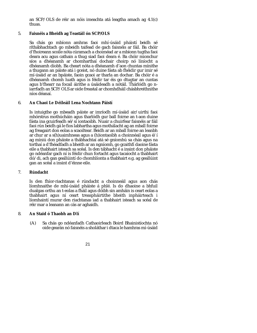an SCP/OLS de réir an nóis imeachta atá leagtha amach ag 4.1(c) thuas.

#### 5. **Faisnéis a Bheidh ag Teastáil ón SCP/OLS**

Sa chás go mbíonn amhras faoi mhí-úsáid pháistí beidh sé ríthábhachtach go mbeidh taifead de gach faisnéis ar fáil. Ba chóir d'fhoireann scoile nóta cúramach a choiméad ar a mbíonn tugtha faoi deara acu agus cathain a thug siad faoi deara é. Ba chóir mionchur síos a dhéanamh ar chomharthaí dochair choirp nó líníocht a dhéanamh díobh. Ba cheart nóta a dhéanamh d'aon chuntas mínithe a thugann an páiste atá i gceist, nó duine fásta ab fhéidir gur imir sé mí-úsáid ar an bpáiste, faoin gcaoi ar tharla an dochar. Ba chóir é a dhéanamh chomh luath agus is féidir tar éis go dtugtar an cuntas agus b'fhearr na focail áirithe a úsáideadh a nótáil. Thárlódh go niarrfadh an SCP/OLS ar oide freastal ar chomhdháil chásbhreithnithe níos déanaí.

## 6. **An Chaoi Le Déileáil Lena Nochtann Páistí**

Is intuigthe go mbeadh páiste ar imríodh mí-úsáid air/uirthi faoi mhórstrus mothúcháin agus tharlódh gur ball foirne an t-aon duine fásta ina gcuirfeadh sé/sí iontaoibh. Nuair a chuirfear faisnéis ar fáil faoi rún beidh gá le fios labhartha agus mothálacht ag an mball foirne ag freagairt don eolas a scaoiltear. Beidh ar an mball foirne an leanbh ar chur ar a s(h)uaimhneas agus a (h)iontaoibh a choinnéail agus é/í ag míniú don pháiste a thábhachtaí atá sé gníomhú sa chás agus na torthaí a d'fhéadfadh a bheith ar an ngníomh, go gcaithfí daoine fásta eile a thabhairt isteach sa scéal. Is den tábhacht é a insint don pháiste go ndéanfar gach ní is féidir chun fortacht agus tacaíocht a thabhairt dó/di, ach gan geallúintí do chomhlíonta a thabhairt e.g. ag geallúint gan an scéal a insint d'éinne eile.

#### 7. **Rúndacht**

Is den fhíor-riachtanas é rúndacht a choinneáil agus aon chás líomhnaithe de mhí-úsáid pháiste á phlé. Is do dhaoine a bhfuil dualgas orthu an t-eolas a fháil agus dóibh sin amháin is ceart eolas a thabhairt agus ní ceart treaspháirtithe bheith inpháirteach i líomhaintí murar den riachtanas iad a thabhairt isteach sa scéal de réir mar a leanann an cás ar aghaidh.

#### 8. **An Staid ó Thaobh an Dlí**

(A) Sa chás go ndéanfadh Cathaoirleach Boird Bhainistíochta nó oide gearán nó faisnéis a sholáthar i dtaca le hamhras mí-úsáid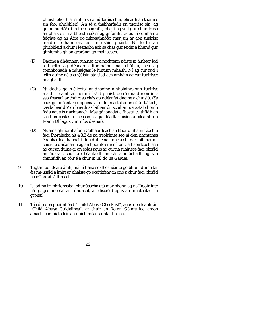pháistí bheith ar siúl leis na húdaráis chuí, bheadh an tuairisc sin faoi phribhléid. An té a thabharfadh an tuairisc sin, ag gníomhú dó/di in loco parentis, bheifí ag súil gur chun leasa an pháiste sín a bheadh sé/sí ag gníomhú agus tá comhairle faighte ag an Aire go mbreathnófaí mar sin ar aon tuairisc maidir le hamhras faoi mí-úsáid pháistí. Ní féidir an phribhléid a chur i leataobh ach sa chás gur féidir a bhunú gur ghníomhaigh an gearánaí go mailíseach.

- (B) Daoine a dhéanann tuairisc ar a nochtann páiste ní áirítear iad a bheith ag déanamh líomhaine mar chúisiú, ach ag comhlíonadh a ndualgais le hintinn mhaith. Ní ag cur rud i leith duine ná á c(h)úisiú atá siad ach amháin ag cur tuairisce ar aghaidh.
- (C) Ní dócha go n-éileofaí ar dhaoine a sholáthraíonn tuairisc maidir le amhras faoi mí-úsáid pháistí de réir na dtreoirlínte seo freastal ar chúirt sa chás go ndéanfaí daoine a chúisiú. (Sa chás go ndéantar subpoena ar oide freastal ar an gCúirt áfach, ceadaítear dó/di bheith as láthair ón scoil ar tuarastal chomh fada agus is riachtanach. Más gá ionadaí a fhostú caithfidh an scoil an costas a sheasamh agus féadtar aisíoc a éileamh ón Roinn Dlí agus Cirt níos déanaí).
- (D) Nuair a ghníomhaíonn Cathaoirleach an Bhoird Bhainistíochta faoi fhorálacha alt 4.3.2 de na treoirlínte seo ní den riachtanas é rabhadh a thabhairt don duine ná finné a chur ar fáil mar níl cúisiú á dhéanamh ag an bpointe sin; níl an Cathaoirleach ach ag cur an duine ar an eolas agus ag cur na tuairisce faoi bhráid an údaráis chuí, a dhéanfaidh an cás a iniúchadh agus a chinnfidh an cóir é a chur in iúl do na Gardaí.
- 9. Tugtar faoi deara ámh, má tá fianaise dhoshéanta go bhfuil duine tar éis mí-úsáid a imirt ar pháiste go gcaithfear an gnó a chur faoi bhráid na nGardaí láithreach.
- 10. Is iad na trí phrionsabal bhunúsacha atá mar bhonn ag na Treoirlínte ná go gcoinneofaí an rúndacht, an discréid agus an mhothálacht i gcónaí.
- 11. Tá cóip den phaimfléad "Child Abuse Checklist", agus den leabhrán "Child Abuse Guidelines", ar chuir an Roinn Sláinte iad araon amach, comhiata leis an doichiméad aontaithe seo.